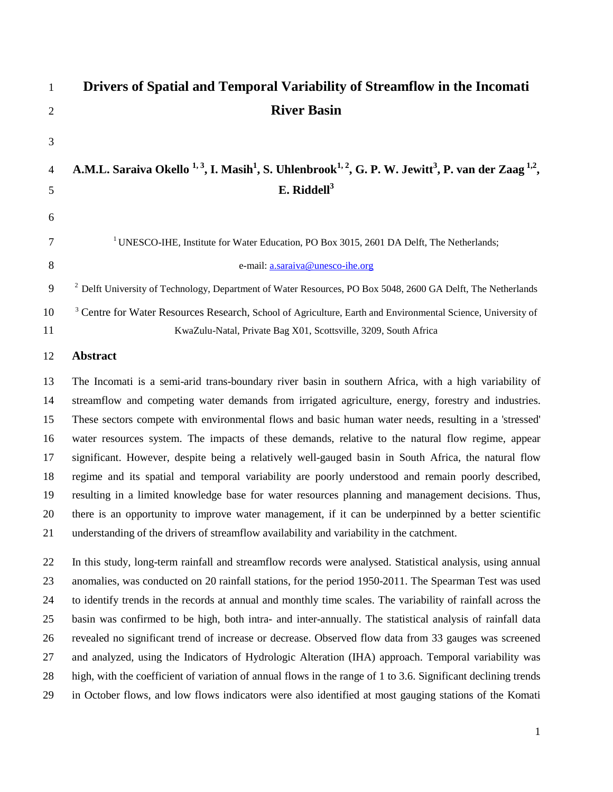|                | Drivers of Spatial and Temporal Variability of Streamflow in the Incomati                                                                                       |
|----------------|-----------------------------------------------------------------------------------------------------------------------------------------------------------------|
| 2              | <b>River Basin</b>                                                                                                                                              |
| 3              |                                                                                                                                                                 |
| $\overline{4}$ | A.M.L. Saraiva Okello <sup>1, 3</sup> , I. Masih <sup>1</sup> , S. Uhlenbrook <sup>1, 2</sup> , G. P. W. Jewitt <sup>3</sup> , P. van der Zaag <sup>1,2</sup> , |
| 5              | $E.$ Riddell <sup>3</sup>                                                                                                                                       |
| 6              |                                                                                                                                                                 |
|                | <sup>1</sup> UNESCO-IHE, Institute for Water Education, PO Box 3015, 2601 DA Delft, The Netherlands;                                                            |
| 8              | e-mail: a.saraiva@unesco-ihe.org                                                                                                                                |
| 9              | <sup>2</sup> Delft University of Technology, Department of Water Resources, PO Box 5048, 2600 GA Delft, The Netherlands                                         |
| 10             | <sup>3</sup> Centre for Water Resources Research, School of Agriculture, Earth and Environmental Science, University of                                         |
| 11             | KwaZulu-Natal, Private Bag X01, Scottsville, 3209, South Africa                                                                                                 |

## **Abstract**

 The Incomati is a semi-arid trans-boundary river basin in southern Africa, with a high variability of streamflow and competing water demands from irrigated agriculture, energy, forestry and industries. These sectors compete with environmental flows and basic human water needs, resulting in a 'stressed' water resources system. The impacts of these demands, relative to the natural flow regime, appear significant. However, despite being a relatively well-gauged basin in South Africa, the natural flow regime and its spatial and temporal variability are poorly understood and remain poorly described, resulting in a limited knowledge base for water resources planning and management decisions. Thus, there is an opportunity to improve water management, if it can be underpinned by a better scientific understanding of the drivers of streamflow availability and variability in the catchment.

 In this study, long-term rainfall and streamflow records were analysed. Statistical analysis, using annual anomalies, was conducted on 20 rainfall stations, for the period 1950-2011. The Spearman Test was used to identify trends in the records at annual and monthly time scales. The variability of rainfall across the basin was confirmed to be high, both intra- and inter-annually. The statistical analysis of rainfall data revealed no significant trend of increase or decrease. Observed flow data from 33 gauges was screened and analyzed, using the Indicators of Hydrologic Alteration (IHA) approach. Temporal variability was high, with the coefficient of variation of annual flows in the range of 1 to 3.6. Significant declining trends in October flows, and low flows indicators were also identified at most gauging stations of the Komati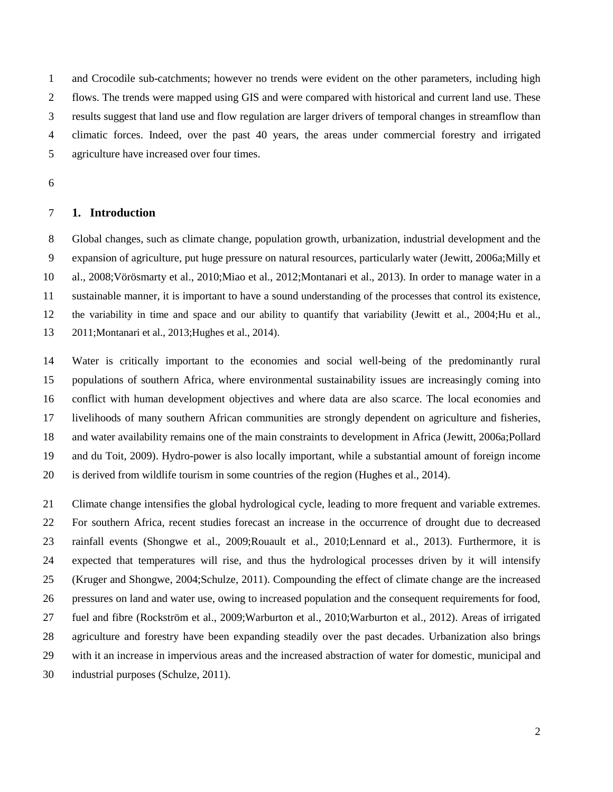and Crocodile sub-catchments; however no trends were evident on the other parameters, including high flows. The trends were mapped using GIS and were compared with historical and current land use. These results suggest that land use and flow regulation are larger drivers of temporal changes in streamflow than climatic forces. Indeed, over the past 40 years, the areas under commercial forestry and irrigated agriculture have increased over four times.

#### **1. Introduction**

 Global changes, such as climate change, population growth, urbanization, industrial development and the expansion of agriculture, put huge pressure on natural resources, particularly water [\(Jewitt, 2006a](#page-15-0)[;Milly et](#page-17-0)  [al., 2008](#page-17-0)[;Vörösmarty et al., 2010;](#page-20-0)[Miao et al., 2012](#page-16-0)[;Montanari et al., 2013\)](#page-17-1). In order to manage water in a sustainable manner, it is important to have a sound understanding of the processes that control its existence, the variability in time and space and our ability to quantify that variability [\(Jewitt et al., 2004](#page-16-1)[;Hu et al.,](#page-15-1)  [2011](#page-15-1)[;Montanari et al., 2013](#page-17-1)[;Hughes et al., 2014\)](#page-15-2).

 Water is critically important to the economies and social well-being of the predominantly rural populations of southern Africa, where environmental sustainability issues are increasingly coming into conflict with human development objectives and where data are also scarce. The local economies and livelihoods of many southern African communities are strongly dependent on agriculture and fisheries, and water availability remains one of the main constraints to development in Africa [\(Jewitt, 2006a](#page-15-0)[;Pollard](#page-17-2)  [and du Toit, 2009\)](#page-17-2). Hydro-power is also locally important, while a substantial amount of foreign income is derived from wildlife tourism in some countries of the region [\(Hughes et al., 2014\)](#page-15-2).

 Climate change intensifies the global hydrological cycle, leading to more frequent and variable extremes. For southern Africa, recent studies forecast an increase in the occurrence of drought due to decreased rainfall events [\(Shongwe et al., 2009;](#page-19-0)[Rouault et al., 2010;](#page-18-0)[Lennard et al., 2013\)](#page-16-2). Furthermore, it is expected that temperatures will rise, and thus the hydrological processes driven by it will intensify [\(Kruger and Shongwe, 2004](#page-16-3)[;Schulze, 2011\)](#page-19-1). Compounding the effect of climate change are the increased pressures on land and water use, owing to increased population and the consequent requirements for food, fuel and fibre [\(Rockström et al., 2009](#page-18-1)[;Warburton et al., 2010](#page-20-1)[;Warburton et al., 2012\)](#page-20-2). Areas of irrigated agriculture and forestry have been expanding steadily over the past decades. Urbanization also brings with it an increase in impervious areas and the increased abstraction of water for domestic, municipal and industrial purposes [\(Schulze, 2011\)](#page-19-1).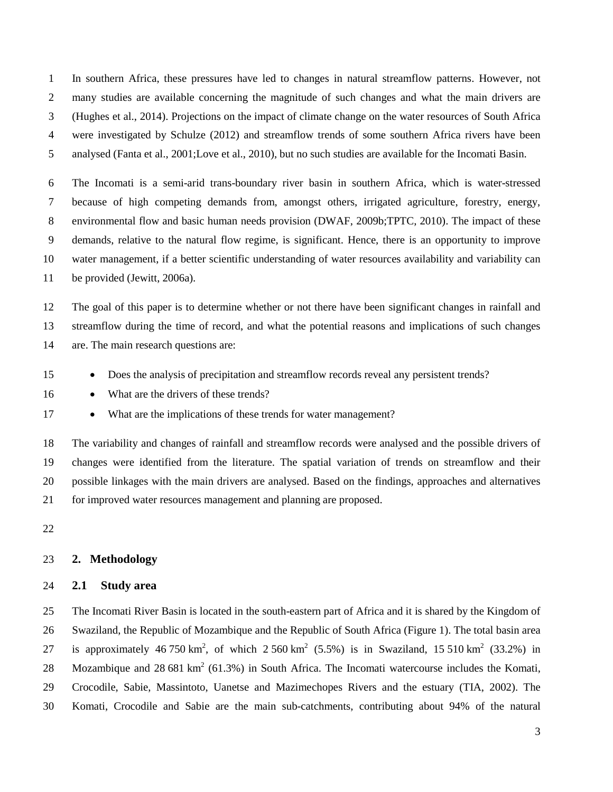In southern Africa, these pressures have led to changes in natural streamflow patterns. However, not many studies are available concerning the magnitude of such changes and what the main drivers are [\(Hughes et al., 2014\)](#page-15-2). Projections on the impact of climate change on the water resources of South Africa were investigated by [Schulze \(2012\)](#page-19-2) and streamflow trends of some southern Africa rivers have been analysed [\(Fanta et al., 2001;](#page-15-3)[Love et al., 2010\)](#page-16-4), but no such studies are available for the Incomati Basin.

 The Incomati is a semi-arid trans-boundary river basin in southern Africa, which is water-stressed because of high competing demands from, amongst others, irrigated agriculture, forestry, energy, 8 environmental flow and basic human needs provision [\(DWAF, 2009b](#page-14-0)[;TPTC, 2010\)](#page-19-3). The impact of these demands, relative to the natural flow regime, is significant. Hence, there is an opportunity to improve water management, if a better scientific understanding of water resources availability and variability can be provided [\(Jewitt, 2006a\)](#page-15-0).

 The goal of this paper is to determine whether or not there have been significant changes in rainfall and streamflow during the time of record, and what the potential reasons and implications of such changes are. The main research questions are:

- Does the analysis of precipitation and streamflow records reveal any persistent trends?
- 16 What are the drivers of these trends?
- 17 What are the implications of these trends for water management?

 The variability and changes of rainfall and streamflow records were analysed and the possible drivers of changes were identified from the literature. The spatial variation of trends on streamflow and their possible linkages with the main drivers are analysed. Based on the findings, approaches and alternatives for improved water resources management and planning are proposed.

#### **2. Methodology**

#### **2.1 Study area**

 The Incomati River Basin is located in the south-eastern part of Africa and it is shared by the Kingdom of Swaziland, the Republic of Mozambique and the Republic of South Africa [\(Figure 1\)](#page-32-0). The total basin area 27 is approximately 46 750 km<sup>2</sup>, of which 2 560 km<sup>2</sup> (5.5%) is in Swaziland, 15 510 km<sup>2</sup> (33.2%) in 28 Mozambique and 28 681 km<sup>2</sup> (61.3%) in South Africa. The Incomati watercourse includes the Komati, Crocodile, Sabie, Massintoto, Uanetse and Mazimechopes Rivers and the estuary [\(TIA, 2002\)](#page-19-4). The Komati, Crocodile and Sabie are the main sub-catchments, contributing about 94% of the natural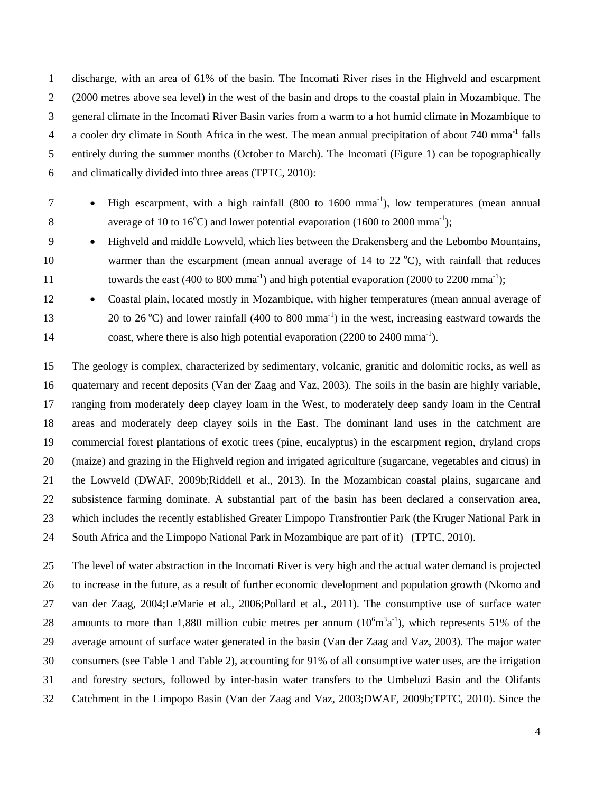discharge, with an area of 61% of the basin. The Incomati River rises in the Highveld and escarpment (2000 metres above sea level) in the west of the basin and drops to the coastal plain in Mozambique. The general climate in the Incomati River Basin varies from a warm to a hot humid climate in Mozambique to 4 a cooler dry climate in South Africa in the west. The mean annual precipitation of about 740 mma<sup>-1</sup> falls entirely during the summer months (October to March). The Incomati [\(Figure 1\)](#page-32-0) can be topographically and climatically divided into three areas [\(TPTC, 2010\)](#page-19-3):

- $\bullet$  High escarpment, with a high rainfall (800 to 1600 mma<sup>-1</sup>), low temperatures (mean annual 8 average of 10 to 16<sup>o</sup>C) and lower potential evaporation (1600 to 2000 mma<sup>-1</sup>);
- Highveld and middle Lowveld, which lies between the Drakensberg and the Lebombo Mountains, 10 warmer than the escarpment (mean annual average of 14 to 22  $^{\circ}$ C), with rainfall that reduces towards the east (400 to 800 mma<sup>-1</sup>) and high potential evaporation (2000 to 2200 mma<sup>-1</sup>);
- Coastal plain, located mostly in Mozambique, with higher temperatures (mean annual average of 20 to 26  $^{\circ}$ C) and lower rainfall (400 to 800 mma<sup>-1</sup>) in the west, increasing eastward towards the coast, where there is also high potential evaporation  $(2200 \text{ to } 2400 \text{ mm}^{-1})$ .

 The geology is complex, characterized by sedimentary, volcanic, granitic and dolomitic rocks, as well as quaternary and recent deposits [\(Van der Zaag and Vaz, 2003\)](#page-19-5). The soils in the basin are highly variable, ranging from moderately deep clayey loam in the West, to moderately deep sandy loam in the Central areas and moderately deep clayey soils in the East. The dominant land uses in the catchment are commercial forest plantations of exotic trees (pine, eucalyptus) in the escarpment region, dryland crops (maize) and grazing in the Highveld region and irrigated agriculture (sugarcane, vegetables and citrus) in the Lowveld [\(DWAF, 2009b;](#page-14-0)[Riddell et al., 2013\)](#page-18-2). In the Mozambican coastal plains, sugarcane and subsistence farming dominate. A substantial part of the basin has been declared a conservation area, which includes the recently established Greater Limpopo Transfrontier Park (the Kruger National Park in South Africa and the Limpopo National Park in Mozambique are part of it) [\(TPTC, 2010\)](#page-19-3).

 The level of water abstraction in the Incomati River is very high and the actual water demand is projected to increase in the future, as a result of further economic development and population growth [\(Nkomo and](#page-17-3)  [van der Zaag, 2004](#page-17-3)[;LeMarie et al., 2006](#page-16-5)[;Pollard et al., 2011\)](#page-18-3). The consumptive use of surface water 28 amounts to more than 1,880 million cubic metres per annum  $(10^6 \text{m}^3 \text{a}^{-1})$ , which represents 51% of the average amount of surface water generated in the basin [\(Van der Zaag and Vaz, 2003\)](#page-19-5). The major water consumers (see [Table 1](#page-21-0) and Table 2), accounting for 91% of all consumptive water uses, are the irrigation and forestry sectors, followed by inter-basin water transfers to the Umbeluzi Basin and the Olifants Catchment in the Limpopo Basin [\(Van der Zaag and Vaz, 2003](#page-19-5)[;DWAF, 2009b;](#page-14-0)[TPTC, 2010\)](#page-19-3). Since the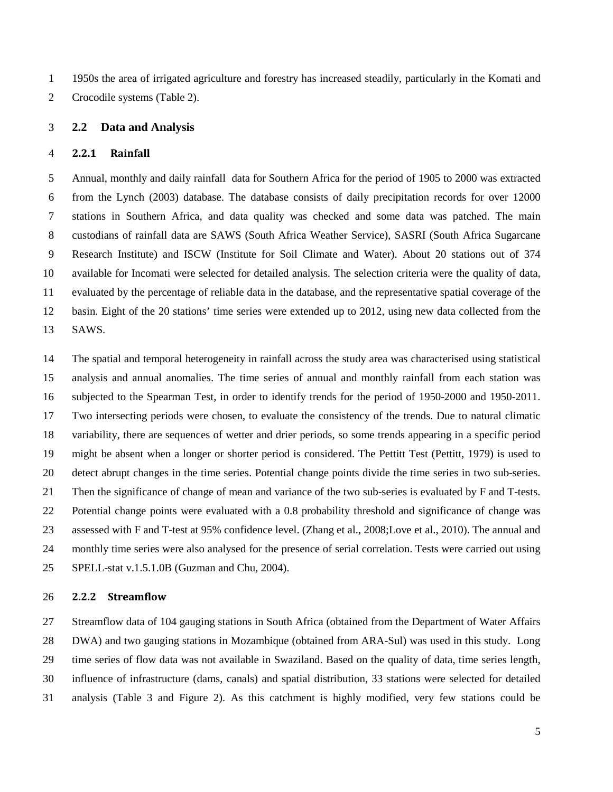1950s the area of irrigated agriculture and forestry has increased steadily, particularly in the Komati and Crocodile systems (Table 2).

### **2.2 Data and Analysis**

#### **2.2.1 Rainfall**

 Annual, monthly and daily rainfall data for Southern Africa for the period of 1905 to 2000 was extracted from the [Lynch \(2003\)](#page-16-6) database. The database consists of daily precipitation records for over 12000 stations in Southern Africa, and data quality was checked and some data was patched. The main custodians of rainfall data are SAWS (South Africa Weather Service), SASRI (South Africa Sugarcane Research Institute) and ISCW (Institute for Soil Climate and Water). About 20 stations out of 374 available for Incomati were selected for detailed analysis. The selection criteria were the quality of data, evaluated by the percentage of reliable data in the database, and the representative spatial coverage of the basin. Eight of the 20 stations' time series were extended up to 2012, using new data collected from the SAWS.

 The spatial and temporal heterogeneity in rainfall across the study area was characterised using statistical analysis and annual anomalies. The time series of annual and monthly rainfall from each station was subjected to the Spearman Test, in order to identify trends for the period of 1950-2000 and 1950-2011. Two intersecting periods were chosen, to evaluate the consistency of the trends. Due to natural climatic variability, there are sequences of wetter and drier periods, so some trends appearing in a specific period might be absent when a longer or shorter period is considered. The Pettitt Test [\(Pettitt, 1979\)](#page-17-4) is used to detect abrupt changes in the time series. Potential change points divide the time series in two sub-series. Then the significance of change of mean and variance of the two sub-series is evaluated by F and T-tests. Potential change points were evaluated with a 0.8 probability threshold and significance of change was assessed with F and T-test at 95% confidence level. [\(Zhang et al., 2008](#page-20-3)[;Love et al., 2010\)](#page-16-4). The annual and monthly time series were also analysed for the presence of serial correlation. Tests were carried out using SPELL-stat v.1.5.1.0B [\(Guzman and Chu, 2004\)](#page-15-4).

#### **2.2.2 Streamflow**

 Streamflow data of 104 gauging stations in South Africa (obtained from the Department of Water Affairs DWA) and two gauging stations in Mozambique (obtained from ARA-Sul) was used in this study. Long time series of flow data was not available in Swaziland. Based on the quality of data, time series length, influence of infrastructure (dams, canals) and spatial distribution, 33 stations were selected for detailed analysis [\(Table 3](#page-23-0) and [Figure 2\)](#page-32-1). As this catchment is highly modified, very few stations could be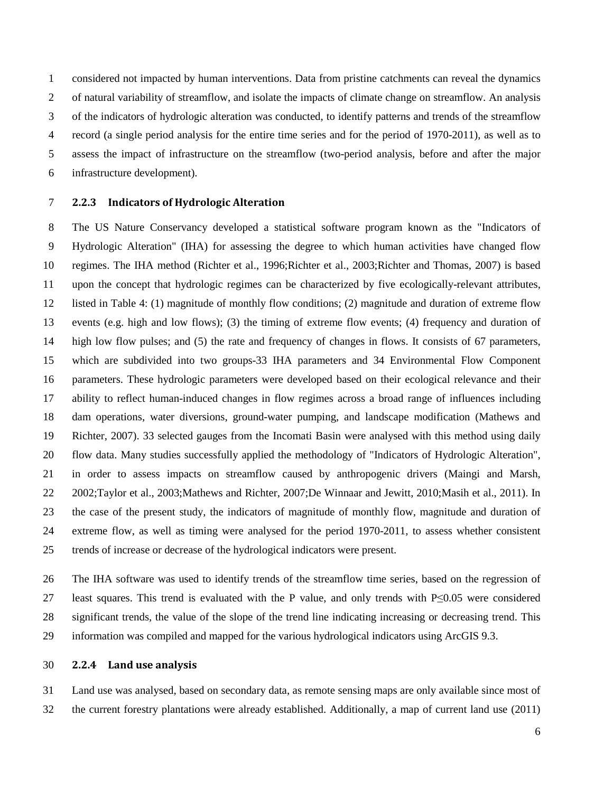considered not impacted by human interventions. Data from pristine catchments can reveal the dynamics of natural variability of streamflow, and isolate the impacts of climate change on streamflow. An analysis of the indicators of hydrologic alteration was conducted, to identify patterns and trends of the streamflow record (a single period analysis for the entire time series and for the period of 1970-2011), as well as to assess the impact of infrastructure on the streamflow (two-period analysis, before and after the major infrastructure development).

## **2.2.3 Indicators of Hydrologic Alteration**

 The US Nature Conservancy developed a statistical software program known as the "Indicators of Hydrologic Alteration" (IHA) for assessing the degree to which human activities have changed flow regimes. The IHA method [\(Richter et al., 1996;](#page-18-4)[Richter et al., 2003](#page-18-5)[;Richter and Thomas, 2007\)](#page-18-6) is based upon the concept that hydrologic regimes can be characterized by five ecologically-relevant attributes, listed in Table 4: (1) magnitude of monthly flow conditions; (2) magnitude and duration of extreme flow events (e.g. high and low flows); (3) the timing of extreme flow events; (4) frequency and duration of high low flow pulses; and (5) the rate and frequency of changes in flows. It consists of 67 parameters, which are subdivided into two groups-33 IHA parameters and 34 Environmental Flow Component parameters. These hydrologic parameters were developed based on their ecological relevance and their ability to reflect human-induced changes in flow regimes across a broad range of influences including dam operations, water diversions, ground-water pumping, and landscape modification [\(Mathews and](#page-16-7)  [Richter, 2007\)](#page-16-7). 33 selected gauges from the Incomati Basin were analysed with this method using daily flow data. Many studies successfully applied the methodology of "Indicators of Hydrologic Alteration", in order to assess impacts on streamflow caused by anthropogenic drivers [\(Maingi and Marsh,](#page-16-8)  [2002](#page-16-8)[;Taylor et al., 2003](#page-19-6)[;Mathews and Richter, 2007](#page-16-7)[;De Winnaar and Jewitt, 2010](#page-14-1)[;Masih et al., 2011\)](#page-16-9). In the case of the present study, the indicators of magnitude of monthly flow, magnitude and duration of extreme flow, as well as timing were analysed for the period 1970-2011, to assess whether consistent trends of increase or decrease of the hydrological indicators were present.

 The IHA software was used to identify trends of the streamflow time series, based on the regression of least squares. This trend is evaluated with the P value, and only trends with P≤0.05 were considered significant trends, the value of the slope of the trend line indicating increasing or decreasing trend. This information was compiled and mapped for the various hydrological indicators using ArcGIS 9.3.

## **2.2.4 Land use analysis**

 Land use was analysed, based on secondary data, as remote sensing maps are only available since most of the current forestry plantations were already established. Additionally, a map of current land use (2011)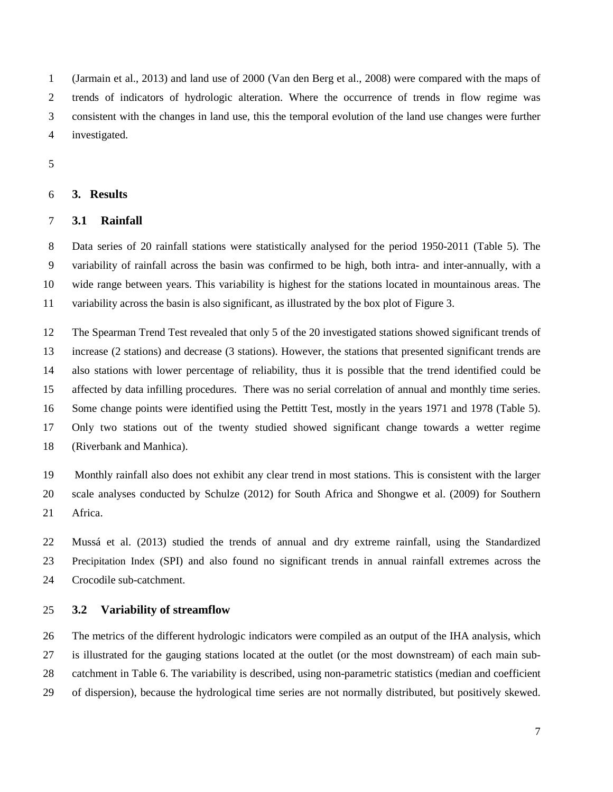[\(Jarmain et al., 2013\)](#page-15-5) and land use of 2000 [\(Van den Berg et al., 2008\)](#page-19-7) were compared with the maps of trends of indicators of hydrologic alteration. Where the occurrence of trends in flow regime was consistent with the changes in land use, this the temporal evolution of the land use changes were further investigated.

## **3. Results**

## **3.1 Rainfall**

 Data series of 20 rainfall stations were statistically analysed for the period 1950-2011 (Table 5). The variability of rainfall across the basin was confirmed to be high, both intra- and inter-annually, with a wide range between years. This variability is highest for the stations located in mountainous areas. The variability across the basin is also significant, as illustrated by the box plot of [Figure 3.](#page-32-2)

 The Spearman Trend Test revealed that only 5 of the 20 investigated stations showed significant trends of increase (2 stations) and decrease (3 stations). However, the stations that presented significant trends are also stations with lower percentage of reliability, thus it is possible that the trend identified could be affected by data infilling procedures. There was no serial correlation of annual and monthly time series. Some change points were identified using the Pettitt Test, mostly in the years 1971 and 1978 [\(Table 5\)](#page-26-0). Only two stations out of the twenty studied showed significant change towards a wetter regime (Riverbank and Manhica).

 Monthly rainfall also does not exhibit any clear trend in most stations. This is consistent with the larger scale analyses conducted by [Schulze \(2012\)](#page-19-2) for South Africa and [Shongwe et al. \(2009\)](#page-19-0) for Southern Africa.

 [Mussá et al. \(2013\)](#page-17-5) studied the trends of annual and dry extreme rainfall, using the Standardized Precipitation Index (SPI) and also found no significant trends in annual rainfall extremes across the Crocodile sub-catchment.

## **3.2 Variability of streamflow**

 The metrics of the different hydrologic indicators were compiled as an output of the IHA analysis, which is illustrated for the gauging stations located at the outlet (or the most downstream) of each main sub- catchment in [Table 6.](#page-28-0) The variability is described, using non-parametric statistics (median and coefficient of dispersion), because the hydrological time series are not normally distributed, but positively skewed.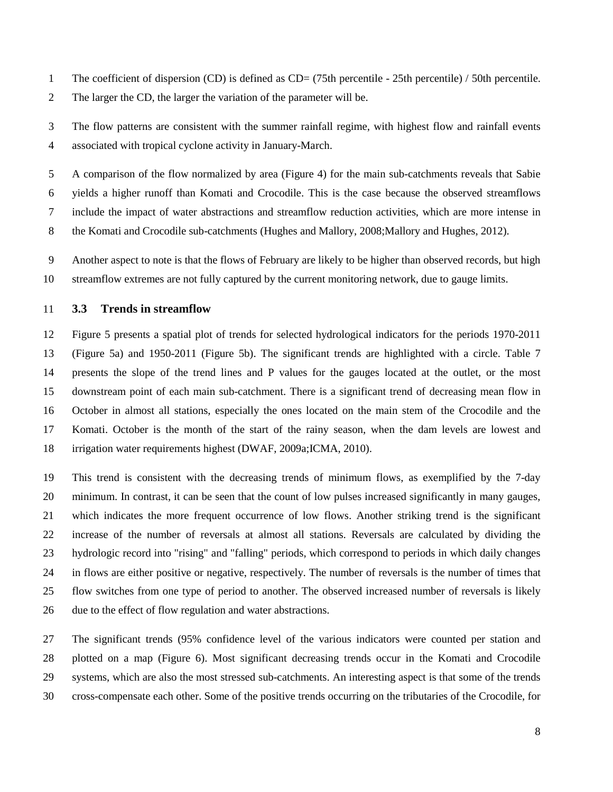1 The coefficient of dispersion (CD) is defined as CD= (75th percentile - 25th percentile) / 50th percentile. The larger the CD, the larger the variation of the parameter will be.

 The flow patterns are consistent with the summer rainfall regime, with highest flow and rainfall events associated with tropical cyclone activity in January-March.

 A comparison of the flow normalized by area [\(Figure 4\)](#page-32-3) for the main sub-catchments reveals that Sabie yields a higher runoff than Komati and Crocodile. This is the case because the observed streamflows include the impact of water abstractions and streamflow reduction activities, which are more intense in 8 the Komati and Crocodile sub-catchments [\(Hughes and Mallory, 2008;](#page-15-6)[Mallory and Hughes, 2012\)](#page-16-10).

 Another aspect to note is that the flows of February are likely to be higher than observed records, but high streamflow extremes are not fully captured by the current monitoring network, due to gauge limits.

## **3.3 Trends in streamflow**

 [Figure 5](#page-32-4) presents a spatial plot of trends for selected hydrological indicators for the periods 1970-2011 (Figure 5a) and 1950-2011 (Figure 5b). The significant trends are highlighted with a circle. Table 7 presents the slope of the trend lines and P values for the gauges located at the outlet, or the most downstream point of each main sub-catchment. There is a significant trend of decreasing mean flow in October in almost all stations, especially the ones located on the main stem of the Crocodile and the Komati. October is the month of the start of the rainy season, when the dam levels are lowest and irrigation water requirements highest [\(DWAF, 2009a](#page-14-2)[;ICMA, 2010\)](#page-15-7).

 This trend is consistent with the decreasing trends of minimum flows, as exemplified by the 7-day minimum. In contrast, it can be seen that the count of low pulses increased significantly in many gauges, which indicates the more frequent occurrence of low flows. Another striking trend is the significant increase of the number of reversals at almost all stations. Reversals are calculated by dividing the hydrologic record into "rising" and "falling" periods, which correspond to periods in which daily changes in flows are either positive or negative, respectively. The number of reversals is the number of times that flow switches from one type of period to another. The observed increased number of reversals is likely due to the effect of flow regulation and water abstractions.

 The significant trends (95% confidence level of the various indicators were counted per station and plotted on a map (Figure 6). Most significant decreasing trends occur in the Komati and Crocodile systems, which are also the most stressed sub-catchments. An interesting aspect is that some of the trends cross-compensate each other. Some of the positive trends occurring on the tributaries of the Crocodile, for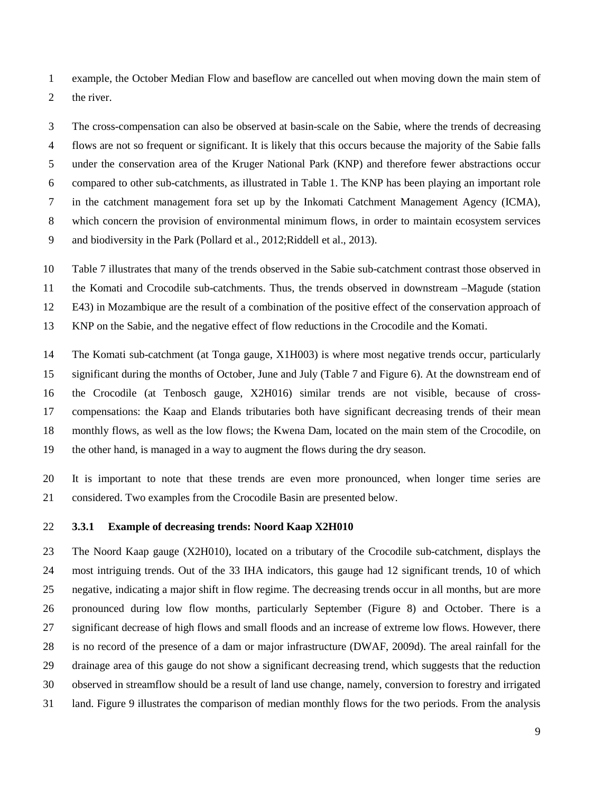example, the October Median Flow and baseflow are cancelled out when moving down the main stem of the river.

 The cross-compensation can also be observed at basin-scale on the Sabie, where the trends of decreasing flows are not so frequent or significant. It is likely that this occurs because the majority of the Sabie falls under the conservation area of the Kruger National Park (KNP) and therefore fewer abstractions occur compared to other sub-catchments, as illustrated in Table 1. The KNP has been playing an important role in the catchment management fora set up by the Inkomati Catchment Management Agency (ICMA), which concern the provision of environmental minimum flows, in order to maintain ecosystem services and biodiversity in the Park [\(Pollard et al., 2012;](#page-18-7)[Riddell et al., 2013\)](#page-18-2).

 Table 7 illustrates that many of the trends observed in the Sabie sub-catchment contrast those observed in the Komati and Crocodile sub-catchments. Thus, the trends observed in downstream –Magude (station E43) in Mozambique are the result of a combination of the positive effect of the conservation approach of

KNP on the Sabie, and the negative effect of flow reductions in the Crocodile and the Komati.

 The Komati sub-catchment (at Tonga gauge, X1H003) is where most negative trends occur, particularly significant during the months of October, June and July [\(Table 7](#page-30-0) and [Figure 6\)](#page-32-5). At the downstream end of the Crocodile (at Tenbosch gauge, X2H016) similar trends are not visible, because of cross- compensations: the Kaap and Elands tributaries both have significant decreasing trends of their mean monthly flows, as well as the low flows; the Kwena Dam, located on the main stem of the Crocodile, on the other hand, is managed in a way to augment the flows during the dry season.

 It is important to note that these trends are even more pronounced, when longer time series are considered. Two examples from the Crocodile Basin are presented below.

#### **3.3.1 Example of decreasing trends: Noord Kaap X2H010**

 The Noord Kaap gauge (X2H010), located on a tributary of the Crocodile sub-catchment, displays the most intriguing trends. Out of the 33 IHA indicators, this gauge had 12 significant trends, 10 of which negative, indicating a major shift in flow regime. The decreasing trends occur in all months, but are more pronounced during low flow months, particularly September [\(Figure 8\)](#page-32-6) and October. There is a significant decrease of high flows and small floods and an increase of extreme low flows. However, there is no record of the presence of a dam or major infrastructure [\(DWAF, 2009d\)](#page-15-8). The areal rainfall for the drainage area of this gauge do not show a significant decreasing trend, which suggests that the reduction observed in streamflow should be a result of land use change, namely, conversion to forestry and irrigated land. Figure 9 illustrates the comparison of median monthly flows for the two periods. From the analysis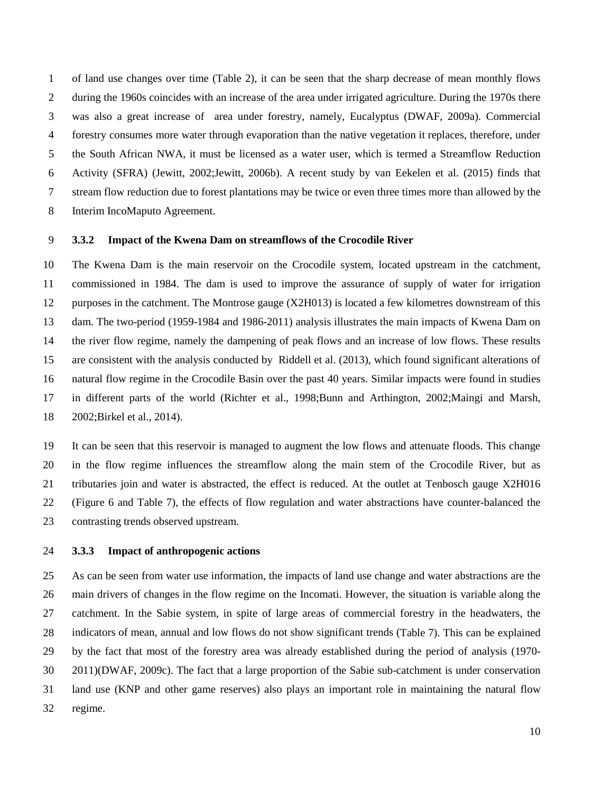of land use changes over time [\(Table 2\)](#page-22-0), it can be seen that the sharp decrease of mean monthly flows during the 1960s coincides with an increase of the area under irrigated agriculture. During the 1970s there was also a great increase of area under forestry, namely, Eucalyptus [\(DWAF, 2009a\)](#page-14-2). Commercial forestry consumes more water through evaporation than the native vegetation it replaces, therefore, under the South African NWA, it must be licensed as a water user, which is termed a Streamflow Reduction Activity (SFRA) [\(Jewitt, 2002;](#page-15-9)[Jewitt, 2006b\)](#page-15-10). A recent study by [van Eekelen et al. \(2015\)](#page-19-8) finds that stream flow reduction due to forest plantations may be twice or even three times more than allowed by the Interim IncoMaputo Agreement.

#### **3.3.2 Impact of the Kwena Dam on streamflows of the Crocodile River**

 The Kwena Dam is the main reservoir on the Crocodile system, located upstream in the catchment, commissioned in 1984. The dam is used to improve the assurance of supply of water for irrigation purposes in the catchment. The Montrose gauge (X2H013) is located a few kilometres downstream of this dam. The two-period (1959-1984 and 1986-2011) analysis illustrates the main impacts of Kwena Dam on the river flow regime, namely the dampening of peak flows and an increase of low flows. These results are consistent with the analysis conducted by [Riddell et al. \(2013\),](#page-18-2) which found significant alterations of natural flow regime in the Crocodile Basin over the past 40 years. Similar impacts were found in studies in different parts of the world [\(Richter et al., 1998;](#page-18-8)[Bunn and Arthington, 2002;](#page-14-3)[Maingi and Marsh,](#page-16-8)  [2002](#page-16-8)[;Birkel et al., 2014\)](#page-14-4).

 It can be seen that this reservoir is managed to augment the low flows and attenuate floods. This change in the flow regime influences the streamflow along the main stem of the Crocodile River, but as tributaries join and water is abstracted, the effect is reduced. At the outlet at Tenbosch gauge X2H016 [\(Figure 6](#page-32-5) and [Table 7\)](#page-30-0), the effects of flow regulation and water abstractions have counter-balanced the contrasting trends observed upstream.

## **3.3.3 Impact of anthropogenic actions**

 As can be seen from water use information, the impacts of land use change and water abstractions are the main drivers of changes in the flow regime on the Incomati. However, the situation is variable along the catchment. In the Sabie system, in spite of large areas of commercial forestry in the headwaters, the indicators of mean, annual and low flows do not show significant trends [\(Table 7\)](#page-30-0). This can be explained by the fact that most of the forestry area was already established during the period of analysis (1970- 2011)[\(DWAF, 2009c\)](#page-15-11). The fact that a large proportion of the Sabie sub-catchment is under conservation land use (KNP and other game reserves) also plays an important role in maintaining the natural flow regime.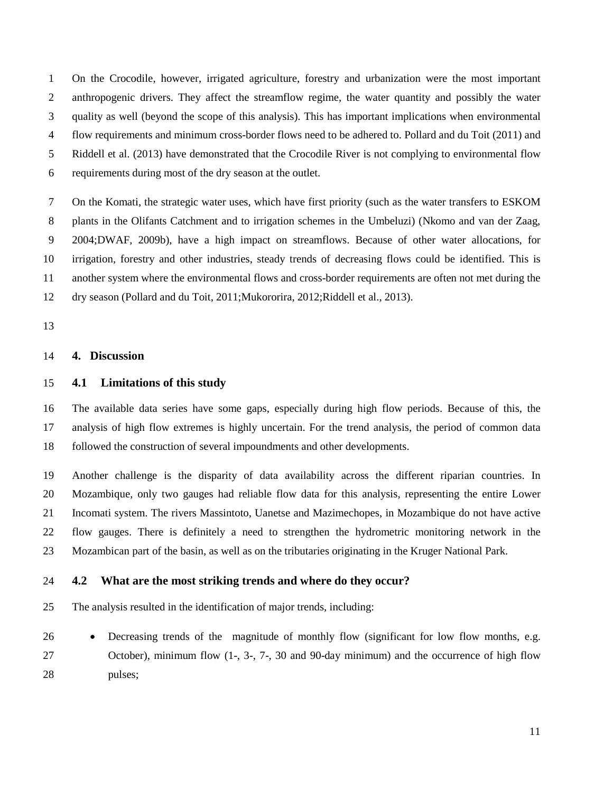On the Crocodile, however, irrigated agriculture, forestry and urbanization were the most important anthropogenic drivers. They affect the streamflow regime, the water quantity and possibly the water quality as well (beyond the scope of this analysis). This has important implications when environmental flow requirements and minimum cross-border flows need to be adhered to. [Pollard and du Toit \(2011\)](#page-17-6) and [Riddell et al. \(2013\)](#page-18-2) have demonstrated that the Crocodile River is not complying to environmental flow requirements during most of the dry season at the outlet.

 On the Komati, the strategic water uses, which have first priority (such as the water transfers to ESKOM plants in the Olifants Catchment and to irrigation schemes in the Umbeluzi) [\(Nkomo and van der](#page-17-3) Zaag, [2004](#page-17-3)[;DWAF, 2009b\)](#page-14-0), have a high impact on streamflows. Because of other water allocations, for irrigation, forestry and other industries, steady trends of decreasing flows could be identified. This is another system where the environmental flows and cross-border requirements are often not met during the dry season [\(Pollard and du Toit, 2011;](#page-17-6)[Mukororira, 2012](#page-17-7)[;Riddell et al., 2013\)](#page-18-2).

#### **4. Discussion**

# **4.1 Limitations of this study**

 The available data series have some gaps, especially during high flow periods. Because of this, the analysis of high flow extremes is highly uncertain. For the trend analysis, the period of common data followed the construction of several impoundments and other developments.

 Another challenge is the disparity of data availability across the different riparian countries. In Mozambique, only two gauges had reliable flow data for this analysis, representing the entire Lower Incomati system. The rivers Massintoto, Uanetse and Mazimechopes, in Mozambique do not have active flow gauges. There is definitely a need to strengthen the hydrometric monitoring network in the Mozambican part of the basin, as well as on the tributaries originating in the Kruger National Park.

## **4.2 What are the most striking trends and where do they occur?**

The analysis resulted in the identification of major trends, including:

 • Decreasing trends of the magnitude of monthly flow (significant for low flow months, e.g. October), minimum flow (1-, 3-, 7-, 30 and 90-day minimum) and the occurrence of high flow pulses;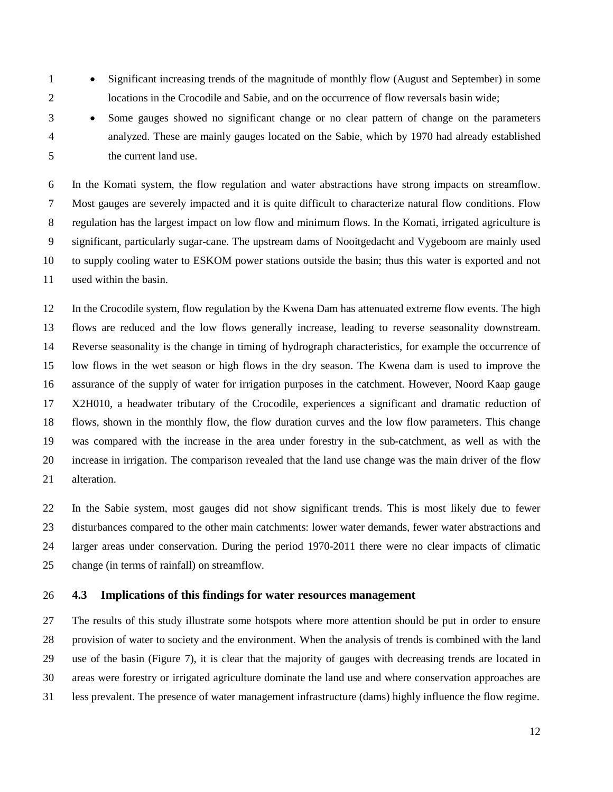• Significant increasing trends of the magnitude of monthly flow (August and September) in some locations in the Crocodile and Sabie, and on the occurrence of flow reversals basin wide;

 • Some gauges showed no significant change or no clear pattern of change on the parameters analyzed. These are mainly gauges located on the Sabie, which by 1970 had already established the current land use.

 In the Komati system, the flow regulation and water abstractions have strong impacts on streamflow. Most gauges are severely impacted and it is quite difficult to characterize natural flow conditions. Flow regulation has the largest impact on low flow and minimum flows. In the Komati, irrigated agriculture is significant, particularly sugar-cane. The upstream dams of Nooitgedacht and Vygeboom are mainly used to supply cooling water to ESKOM power stations outside the basin; thus this water is exported and not used within the basin.

 In the Crocodile system, flow regulation by the Kwena Dam has attenuated extreme flow events. The high flows are reduced and the low flows generally increase, leading to reverse seasonality downstream. Reverse seasonality is the change in timing of hydrograph characteristics, for example the occurrence of low flows in the wet season or high flows in the dry season. The Kwena dam is used to improve the assurance of the supply of water for irrigation purposes in the catchment. However, Noord Kaap gauge X2H010, a headwater tributary of the Crocodile, experiences a significant and dramatic reduction of flows, shown in the monthly flow, the flow duration curves and the low flow parameters. This change was compared with the increase in the area under forestry in the sub-catchment, as well as with the increase in irrigation. The comparison revealed that the land use change was the main driver of the flow alteration.

 In the Sabie system, most gauges did not show significant trends. This is most likely due to fewer disturbances compared to the other main catchments: lower water demands, fewer water abstractions and larger areas under conservation. During the period 1970-2011 there were no clear impacts of climatic change (in terms of rainfall) on streamflow.

## **4.3 Implications of this findings for water resources management**

 The results of this study illustrate some hotspots where more attention should be put in order to ensure provision of water to society and the environment. When the analysis of trends is combined with the land use of the basin [\(Figure 7\)](#page-32-7), it is clear that the majority of gauges with decreasing trends are located in areas were forestry or irrigated agriculture dominate the land use and where conservation approaches are less prevalent. The presence of water management infrastructure (dams) highly influence the flow regime.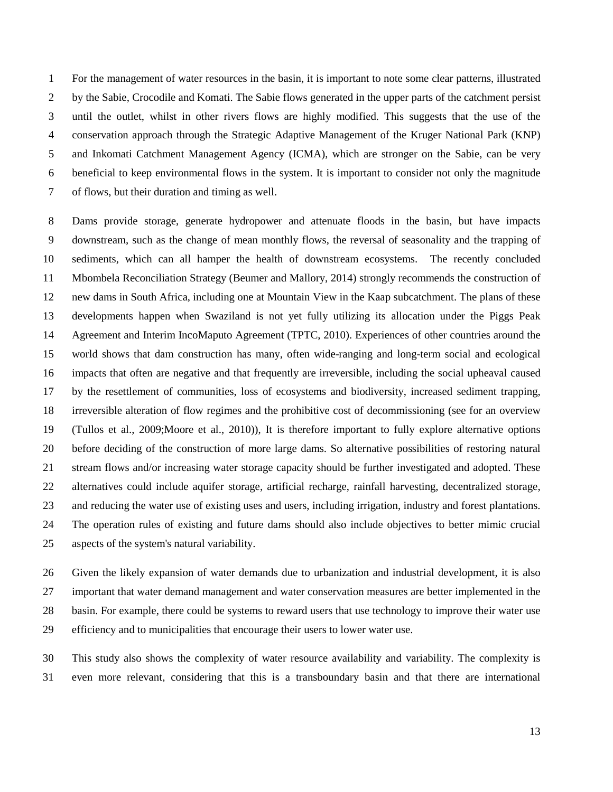For the management of water resources in the basin, it is important to note some clear patterns, illustrated by the Sabie, Crocodile and Komati. The Sabie flows generated in the upper parts of the catchment persist until the outlet, whilst in other rivers flows are highly modified. This suggests that the use of the conservation approach through the Strategic Adaptive Management of the Kruger National Park (KNP) and Inkomati Catchment Management Agency (ICMA), which are stronger on the Sabie, can be very beneficial to keep environmental flows in the system. It is important to consider not only the magnitude of flows, but their duration and timing as well.

 Dams provide storage, generate hydropower and attenuate floods in the basin, but have impacts downstream, such as the change of mean monthly flows, the reversal of seasonality and the trapping of sediments, which can all hamper the health of downstream ecosystems. The recently concluded Mbombela Reconciliation Strategy [\(Beumer and Mallory, 2014\)](#page-14-5) strongly recommends the construction of new dams in South Africa, including one at Mountain View in the Kaap subcatchment. The plans of these developments happen when Swaziland is not yet fully utilizing its allocation under the Piggs Peak Agreement and Interim IncoMaputo Agreement [\(TPTC, 2010\)](#page-19-3). Experiences of other countries around the world shows that dam construction has many, often wide-ranging and long-term social and ecological impacts that often are negative and that frequently are irreversible, including the social upheaval caused by the resettlement of communities, loss of ecosystems and biodiversity, increased sediment trapping, irreversible alteration of flow regimes and the prohibitive cost of decommissioning (see for an overview [\(Tullos et al., 2009;](#page-19-9)[Moore et al., 2010\)](#page-17-8)), It is therefore important to fully explore alternative options before deciding of the construction of more large dams. So alternative possibilities of restoring natural stream flows and/or increasing water storage capacity should be further investigated and adopted. These alternatives could include aquifer storage, artificial recharge, rainfall harvesting, decentralized storage, and reducing the water use of existing uses and users, including irrigation, industry and forest plantations. The operation rules of existing and future dams should also include objectives to better mimic crucial aspects of the system's natural variability.

 Given the likely expansion of water demands due to urbanization and industrial development, it is also important that water demand management and water conservation measures are better implemented in the basin. For example, there could be systems to reward users that use technology to improve their water use efficiency and to municipalities that encourage their users to lower water use.

 This study also shows the complexity of water resource availability and variability. The complexity is even more relevant, considering that this is a transboundary basin and that there are international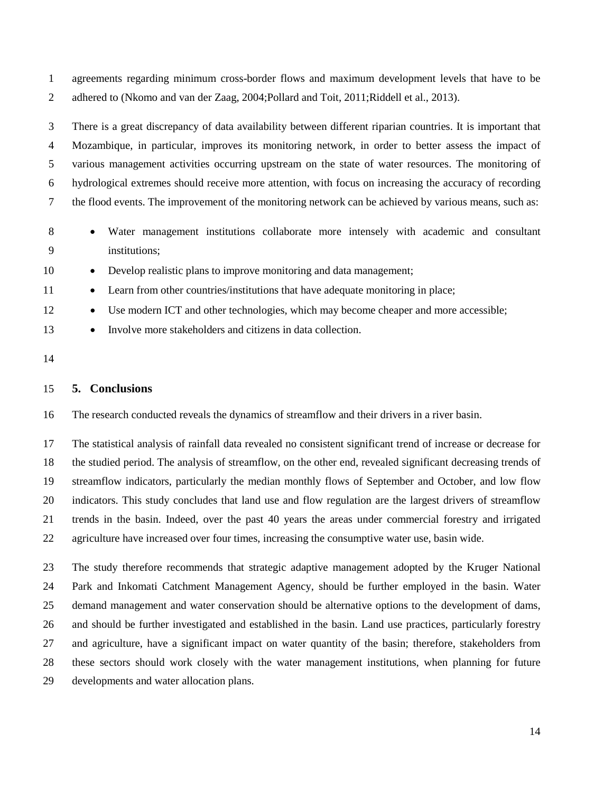agreements regarding minimum cross-border flows and maximum development levels that have to be 2 adhered to [\(Nkomo and van der Zaag, 2004;](#page-17-3) [Pollard and Toit, 2011;](#page-18-9) [Riddell et](#page-18-2) al., 2013).

 There is a great discrepancy of data availability between different riparian countries. It is important that Mozambique, in particular, improves its monitoring network, in order to better assess the impact of various management activities occurring upstream on the state of water resources. The monitoring of hydrological extremes should receive more attention, with focus on increasing the accuracy of recording the flood events. The improvement of the monitoring network can be achieved by various means, such as:

- Water management institutions collaborate more intensely with academic and consultant institutions;
- Develop realistic plans to improve monitoring and data management;
- 11 Learn from other countries/institutions that have adequate monitoring in place;
- Use modern ICT and other technologies, which may become cheaper and more accessible;
- Involve more stakeholders and citizens in data collection.
- 

## **5. Conclusions**

The research conducted reveals the dynamics of streamflow and their drivers in a river basin.

 The statistical analysis of rainfall data revealed no consistent significant trend of increase or decrease for the studied period. The analysis of streamflow, on the other end, revealed significant decreasing trends of streamflow indicators, particularly the median monthly flows of September and October, and low flow indicators. This study concludes that land use and flow regulation are the largest drivers of streamflow trends in the basin. Indeed, over the past 40 years the areas under commercial forestry and irrigated agriculture have increased over four times, increasing the consumptive water use, basin wide.

 The study therefore recommends that strategic adaptive management adopted by the Kruger National Park and Inkomati Catchment Management Agency, should be further employed in the basin. Water demand management and water conservation should be alternative options to the development of dams, and should be further investigated and established in the basin. Land use practices, particularly forestry and agriculture, have a significant impact on water quantity of the basin; therefore, stakeholders from these sectors should work closely with the water management institutions, when planning for future developments and water allocation plans.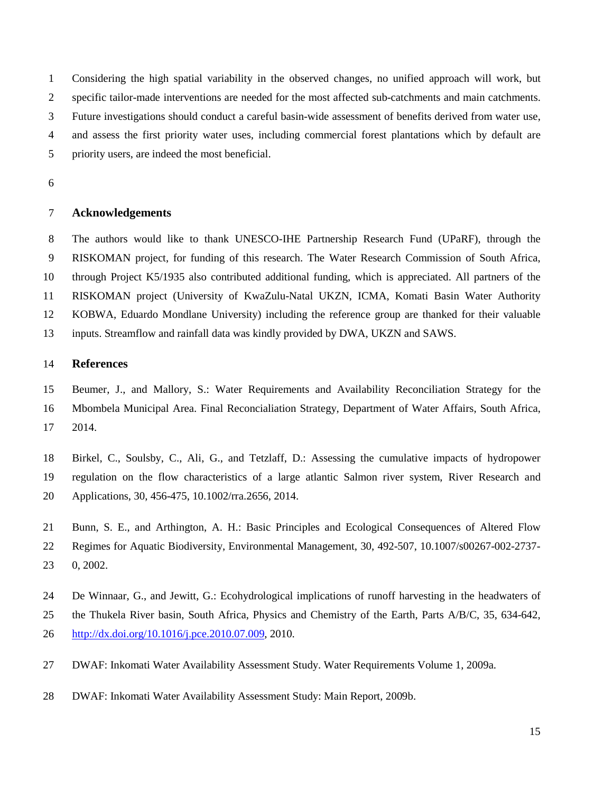Considering the high spatial variability in the observed changes, no unified approach will work, but specific tailor-made interventions are needed for the most affected sub-catchments and main catchments. Future investigations should conduct a careful basin-wide assessment of benefits derived from water use, and assess the first priority water uses, including commercial forest plantations which by default are priority users, are indeed the most beneficial.

#### **Acknowledgements**

 The authors would like to thank UNESCO-IHE Partnership Research Fund (UPaRF), through the RISKOMAN project, for funding of this research. The Water Research Commission of South Africa, through Project K5/1935 also contributed additional funding, which is appreciated. All partners of the RISKOMAN project (University of KwaZulu-Natal UKZN, ICMA, Komati Basin Water Authority KOBWA, Eduardo Mondlane University) including the reference group are thanked for their valuable inputs. Streamflow and rainfall data was kindly provided by DWA, UKZN and SAWS.

## **References**

<span id="page-14-5"></span> Beumer, J., and Mallory, S.: Water Requirements and Availability Reconciliation Strategy for the Mbombela Municipal Area. Final Reconcialiation Strategy, Department of Water Affairs, South Africa, 2014.

<span id="page-14-4"></span> Birkel, C., Soulsby, C., Ali, G., and Tetzlaff, D.: Assessing the cumulative impacts of hydropower regulation on the flow characteristics of a large atlantic Salmon river system, River Research and Applications, 30, 456-475, 10.1002/rra.2656, 2014.

<span id="page-14-3"></span> Bunn, S. E., and Arthington, A. H.: Basic Principles and Ecological Consequences of Altered Flow Regimes for Aquatic Biodiversity, Environmental Management, 30, 492-507, 10.1007/s00267-002-2737- 0, 2002.

<span id="page-14-1"></span> De Winnaar, G., and Jewitt, G.: Ecohydrological implications of runoff harvesting in the headwaters of the Thukela River basin, South Africa, Physics and Chemistry of the Earth, Parts A/B/C, 35, 634-642, [http://dx.doi.org/10.1016/j.pce.2010.07.009,](http://dx.doi.org/10.1016/j.pce.2010.07.009) 2010.

- <span id="page-14-2"></span>DWAF: Inkomati Water Availability Assessment Study. Water Requirements Volume 1, 2009a.
- <span id="page-14-0"></span>DWAF: Inkomati Water Availability Assessment Study: Main Report, 2009b.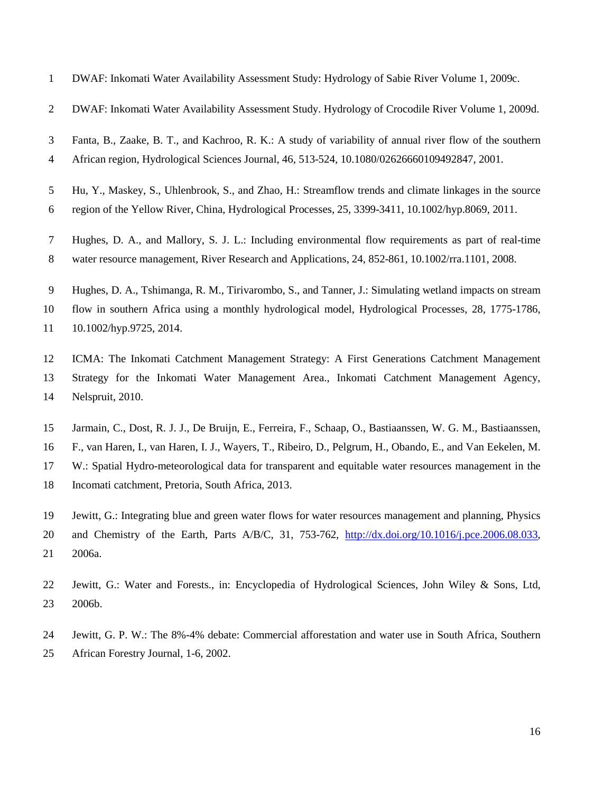- <span id="page-15-11"></span>DWAF: Inkomati Water Availability Assessment Study: Hydrology of Sabie River Volume 1, 2009c.
- <span id="page-15-8"></span>DWAF: Inkomati Water Availability Assessment Study. Hydrology of Crocodile River Volume 1, 2009d.
- <span id="page-15-4"></span><span id="page-15-3"></span> Fanta, B., Zaake, B. T., and Kachroo, R. K.: A study of variability of annual river flow of the southern African region, Hydrological Sciences Journal, 46, 513-524, 10.1080/02626660109492847, 2001.
- 
- <span id="page-15-1"></span>Hu, Y., Maskey, S., Uhlenbrook, S., and Zhao, H.: Streamflow trends and climate linkages in the source
- region of the Yellow River, China, Hydrological Processes, 25, 3399-3411, 10.1002/hyp.8069, 2011.
- <span id="page-15-6"></span> Hughes, D. A., and Mallory, S. J. L.: Including environmental flow requirements as part of real-time water resource management, River Research and Applications, 24, 852-861, 10.1002/rra.1101, 2008.
- <span id="page-15-2"></span> Hughes, D. A., Tshimanga, R. M., Tirivarombo, S., and Tanner, J.: Simulating wetland impacts on stream flow in southern Africa using a monthly hydrological model, Hydrological Processes, 28, 1775-1786, 10.1002/hyp.9725, 2014.
- <span id="page-15-7"></span> ICMA: The Inkomati Catchment Management Strategy: A First Generations Catchment Management Strategy for the Inkomati Water Management Area., Inkomati Catchment Management Agency, Nelspruit, 2010.
- <span id="page-15-5"></span>Jarmain, C., Dost, R. J. J., De Bruijn, E., Ferreira, F., Schaap, O., Bastiaanssen, W. G. M., Bastiaanssen,
- F., van Haren, I., van Haren, I. J., Wayers, T., Ribeiro, D., Pelgrum, H., Obando, E., and Van Eekelen, M.
- W.: Spatial Hydro-meteorological data for transparent and equitable water resources management in the
- Incomati catchment, Pretoria, South Africa, 2013.
- <span id="page-15-0"></span> Jewitt, G.: Integrating blue and green water flows for water resources management and planning, Physics and Chemistry of the Earth, Parts A/B/C, 31, 753-762, [http://dx.doi.org/10.1016/j.pce.2006.08.033,](http://dx.doi.org/10.1016/j.pce.2006.08.033) 2006a.
- <span id="page-15-10"></span> Jewitt, G.: Water and Forests., in: Encyclopedia of Hydrological Sciences, John Wiley & Sons, Ltd, 2006b.
- <span id="page-15-9"></span> Jewitt, G. P. W.: The 8%-4% debate: Commercial afforestation and water use in South Africa, Southern African Forestry Journal, 1-6, 2002.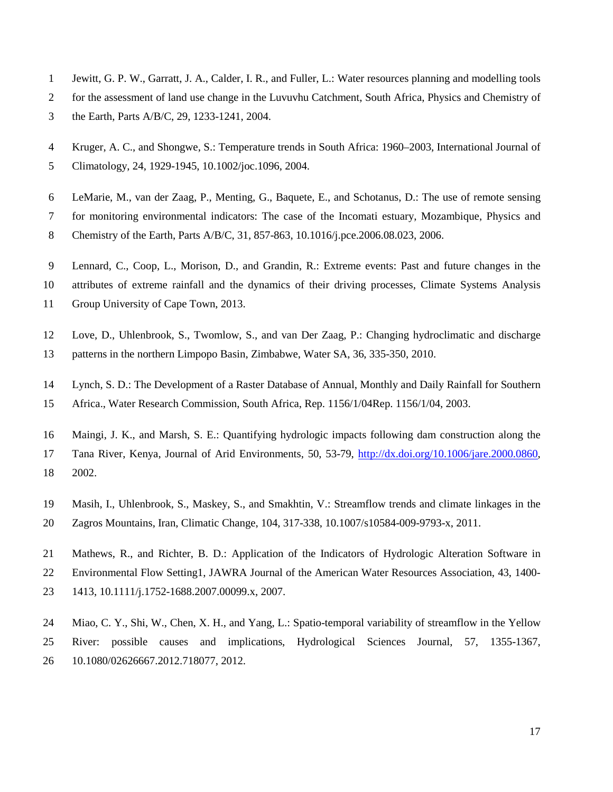- <span id="page-16-1"></span>Jewitt, G. P. W., Garratt, J. A., Calder, I. R., and Fuller, L.: Water resources planning and modelling tools
- for the assessment of land use change in the Luvuvhu Catchment, South Africa, Physics and Chemistry of
- the Earth, Parts A/B/C, 29, 1233-1241, 2004.
- <span id="page-16-3"></span> Kruger, A. C., and Shongwe, S.: Temperature trends in South Africa: 1960–2003, International Journal of Climatology, 24, 1929-1945, 10.1002/joc.1096, 2004.
- <span id="page-16-11"></span><span id="page-16-5"></span> LeMarie, M., van der Zaag, P., Menting, G., Baquete, E., and Schotanus, D.: The use of remote sensing for monitoring environmental indicators: The case of the Incomati estuary, Mozambique, Physics and Chemistry of the Earth, Parts A/B/C, 31, 857-863, 10.1016/j.pce.2006.08.023, 2006.
- <span id="page-16-2"></span> Lennard, C., Coop, L., Morison, D., and Grandin, R.: Extreme events: Past and future changes in the attributes of extreme rainfall and the dynamics of their driving processes, Climate Systems Analysis Group University of Cape Town, 2013.
- <span id="page-16-4"></span> Love, D., Uhlenbrook, S., Twomlow, S., and van Der Zaag, P.: Changing hydroclimatic and discharge patterns in the northern Limpopo Basin, Zimbabwe, Water SA, 36, 335-350, 2010.
- <span id="page-16-6"></span> Lynch, S. D.: The Development of a Raster Database of Annual, Monthly and Daily Rainfall for Southern Africa., Water Research Commission, South Africa, Rep. 1156/1/04Rep. 1156/1/04, 2003.
- <span id="page-16-8"></span> Maingi, J. K., and Marsh, S. E.: Quantifying hydrologic impacts following dam construction along the Tana River, Kenya, Journal of Arid Environments, 50, 53-79, [http://dx.doi.org/10.1006/jare.2000.0860,](http://dx.doi.org/10.1006/jare.2000.0860) 2002.
- <span id="page-16-10"></span><span id="page-16-9"></span> Masih, I., Uhlenbrook, S., Maskey, S., and Smakhtin, V.: Streamflow trends and climate linkages in the Zagros Mountains, Iran, Climatic Change, 104, 317-338, 10.1007/s10584-009-9793-x, 2011.
- <span id="page-16-7"></span> Mathews, R., and Richter, B. D.: Application of the Indicators of Hydrologic Alteration Software in Environmental Flow Setting1, JAWRA Journal of the American Water Resources Association, 43, 1400- 1413, 10.1111/j.1752-1688.2007.00099.x, 2007.
- <span id="page-16-0"></span> Miao, C. Y., Shi, W., Chen, X. H., and Yang, L.: Spatio-temporal variability of streamflow in the Yellow River: possible causes and implications, Hydrological Sciences Journal, 57, 1355-1367, 10.1080/02626667.2012.718077, 2012.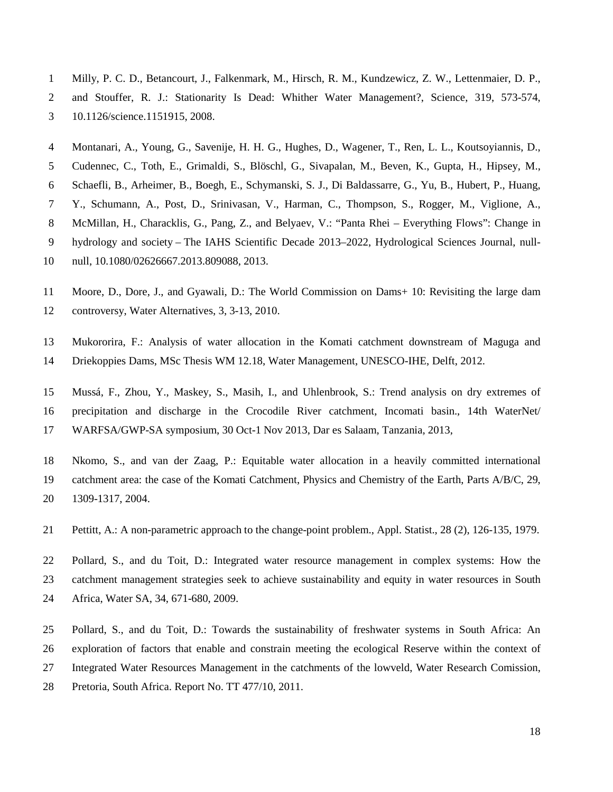- <span id="page-17-0"></span>Milly, P. C. D., Betancourt, J., Falkenmark, M., Hirsch, R. M., Kundzewicz, Z. W., Lettenmaier, D. P.,
- and Stouffer, R. J.: Stationarity Is Dead: Whither Water Management?, Science, 319, 573-574,
- 10.1126/science.1151915, 2008.
- <span id="page-17-1"></span>Montanari, A., Young, G., Savenije, H. H. G., Hughes, D., Wagener, T., Ren, L. L., Koutsoyiannis, D.,

Cudennec, C., Toth, E., Grimaldi, S., Blöschl, G., Sivapalan, M., Beven, K., Gupta, H., Hipsey, M.,

Schaefli, B., Arheimer, B., Boegh, E., Schymanski, S. J., Di Baldassarre, G., Yu, B., Hubert, P., Huang,

- Y., Schumann, A., Post, D., Srinivasan, V., Harman, C., Thompson, S., Rogger, M., Viglione, A.,
- McMillan, H., Characklis, G., Pang, Z., and Belyaev, V.: "Panta Rhei Everything Flows": Change in
- hydrology and society The IAHS Scientific Decade 2013–2022, Hydrological Sciences Journal, null-
- null, 10.1080/02626667.2013.809088, 2013.
- <span id="page-17-8"></span> Moore, D., Dore, J., and Gyawali, D.: The World Commission on Dams+ 10: Revisiting the large dam controversy, Water Alternatives, 3, 3-13, 2010.
- <span id="page-17-7"></span> Mukororira, F.: Analysis of water allocation in the Komati catchment downstream of Maguga and Driekoppies Dams, MSc Thesis WM 12.18, Water Management, UNESCO-IHE, Delft, 2012.
- <span id="page-17-5"></span> Mussá, F., Zhou, Y., Maskey, S., Masih, I., and Uhlenbrook, S.: Trend analysis on dry extremes of precipitation and discharge in the Crocodile River catchment, Incomati basin., 14th WaterNet/ WARFSA/GWP-SA symposium, 30 Oct-1 Nov 2013, Dar es Salaam, Tanzania, 2013,
- <span id="page-17-3"></span> Nkomo, S., and van der Zaag, P.: Equitable water allocation in a heavily committed international catchment area: the case of the Komati Catchment, Physics and Chemistry of the Earth, Parts A/B/C, 29, 1309-1317, 2004.
- <span id="page-17-4"></span>Pettitt, A.: A non-parametric approach to the change-point problem., Appl. Statist., 28 (2), 126-135, 1979.
- <span id="page-17-2"></span> Pollard, S., and du Toit, D.: Integrated water resource management in complex systems: How the catchment management strategies seek to achieve sustainability and equity in water resources in South Africa, Water SA, 34, 671-680, 2009.
- <span id="page-17-6"></span> Pollard, S., and du Toit, D.: Towards the sustainability of freshwater systems in South Africa: An exploration of factors that enable and constrain meeting the ecological Reserve within the context of Integrated Water Resources Management in the catchments of the lowveld, Water Research Comission,
- Pretoria, South Africa. Report No. TT 477/10, 2011.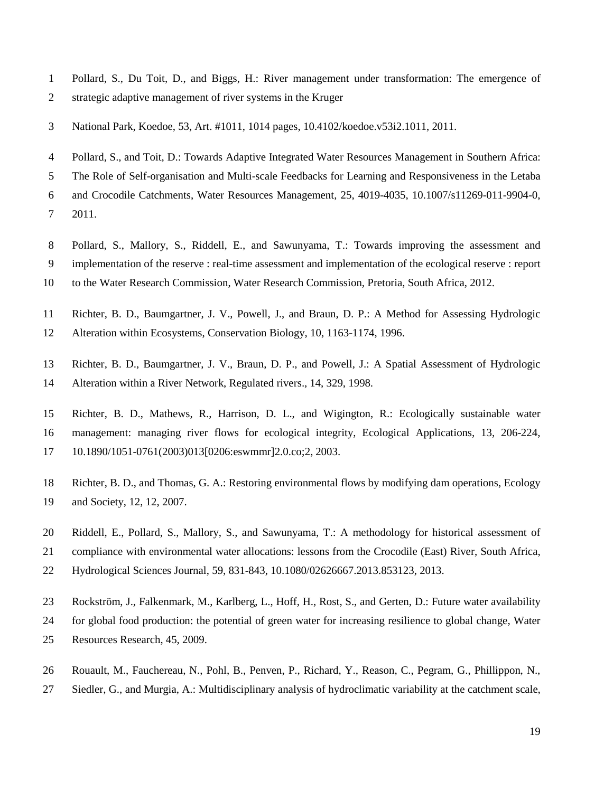- <span id="page-18-3"></span> Pollard, S., Du Toit, D., and Biggs, H.: River management under transformation: The emergence of strategic adaptive management of river systems in the Kruger
- National Park, Koedoe, 53, Art. #1011, 1014 pages, 10.4102/koedoe.v53i2.1011, 2011.

<span id="page-18-9"></span> Pollard, S., and Toit, D.: Towards Adaptive Integrated Water Resources Management in Southern Africa: The Role of Self-organisation and Multi-scale Feedbacks for Learning and Responsiveness in the Letaba and Crocodile Catchments, Water Resources Management, 25, 4019-4035, 10.1007/s11269-011-9904-0, 2011.

- <span id="page-18-7"></span> Pollard, S., Mallory, S., Riddell, E., and Sawunyama, T.: Towards improving the assessment and implementation of the reserve : real-time assessment and implementation of the ecological reserve : report to the Water Research Commission, Water Research Commission, Pretoria, South Africa, 2012.
- <span id="page-18-4"></span> Richter, B. D., Baumgartner, J. V., Powell, J., and Braun, D. P.: A Method for Assessing Hydrologic Alteration within Ecosystems, Conservation Biology, 10, 1163-1174, 1996.
- <span id="page-18-8"></span> Richter, B. D., Baumgartner, J. V., Braun, D. P., and Powell, J.: A Spatial Assessment of Hydrologic Alteration within a River Network, Regulated rivers., 14, 329, 1998.
- <span id="page-18-5"></span> Richter, B. D., Mathews, R., Harrison, D. L., and Wigington, R.: Ecologically sustainable water management: managing river flows for ecological integrity, Ecological Applications, 13, 206-224, 10.1890/1051-0761(2003)013[0206:eswmmr]2.0.co;2, 2003.
- <span id="page-18-6"></span> Richter, B. D., and Thomas, G. A.: Restoring environmental flows by modifying dam operations, Ecology and Society, 12, 12, 2007.
- <span id="page-18-2"></span> Riddell, E., Pollard, S., Mallory, S., and Sawunyama, T.: A methodology for historical assessment of compliance with environmental water allocations: lessons from the Crocodile (East) River, South Africa, Hydrological Sciences Journal, 59, 831-843, 10.1080/02626667.2013.853123, 2013.
- <span id="page-18-1"></span> Rockström, J., Falkenmark, M., Karlberg, L., Hoff, H., Rost, S., and Gerten, D.: Future water availability for global food production: the potential of green water for increasing resilience to global change, Water
- Resources Research, 45, 2009.
- <span id="page-18-0"></span>Rouault, M., Fauchereau, N., Pohl, B., Penven, P., Richard, Y., Reason, C., Pegram, G., Phillippon, N.,
- Siedler, G., and Murgia, A.: Multidisciplinary analysis of hydroclimatic variability at the catchment scale,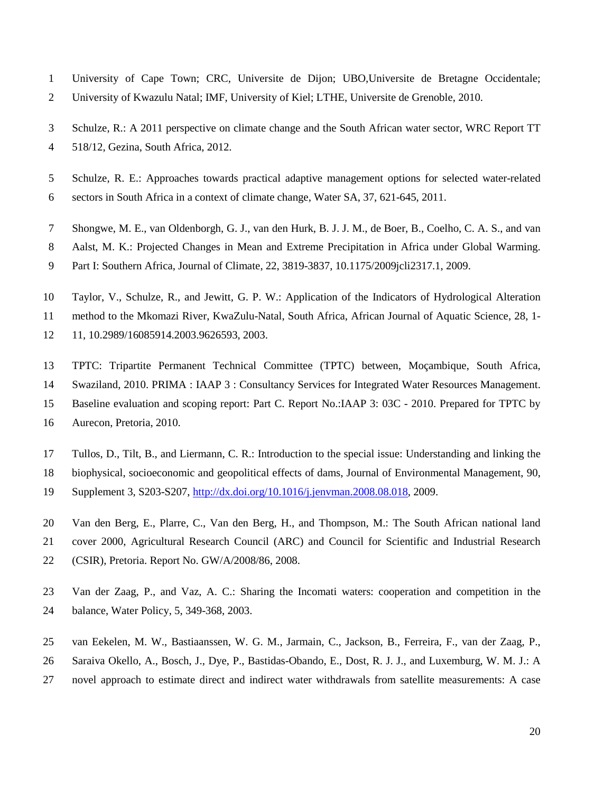- University of Cape Town; CRC, Universite de Dijon; UBO,Universite de Bretagne Occidentale; University of Kwazulu Natal; IMF, University of Kiel; LTHE, Universite de Grenoble, 2010.
- <span id="page-19-2"></span> Schulze, R.: A 2011 perspective on climate change and the South African water sector, WRC Report TT 518/12, Gezina, South Africa, 2012.
- <span id="page-19-1"></span> Schulze, R. E.: Approaches towards practical adaptive management options for selected water-related sectors in South Africa in a context of climate change, Water SA, 37, 621-645, 2011.
- <span id="page-19-0"></span>Shongwe, M. E., van Oldenborgh, G. J., van den Hurk, B. J. J. M., de Boer, B., Coelho, C. A. S., and van
- Aalst, M. K.: Projected Changes in Mean and Extreme Precipitation in Africa under Global Warming.
- Part I: Southern Africa, Journal of Climate, 22, 3819-3837, 10.1175/2009jcli2317.1, 2009.
- <span id="page-19-6"></span><span id="page-19-4"></span> Taylor, V., Schulze, R., and Jewitt, G. P. W.: Application of the Indicators of Hydrological Alteration method to the Mkomazi River, KwaZulu-Natal, South Africa, African Journal of Aquatic Science, 28, 1- 11, 10.2989/16085914.2003.9626593, 2003.
- <span id="page-19-3"></span> TPTC: Tripartite Permanent Technical Committee (TPTC) between, Moçambique, South Africa, Swaziland, 2010. PRIMA : IAAP 3 : Consultancy Services for Integrated Water Resources Management. Baseline evaluation and scoping report: Part C. Report No.:IAAP 3: 03C - 2010. Prepared for TPTC by Aurecon, Pretoria, 2010.
- <span id="page-19-9"></span>Tullos, D., Tilt, B., and Liermann, C. R.: Introduction to the special issue: Understanding and linking the

biophysical, socioeconomic and geopolitical effects of dams, Journal of Environmental Management, 90,

- Supplement 3, S203-S207, [http://dx.doi.org/10.1016/j.jenvman.2008.08.018,](http://dx.doi.org/10.1016/j.jenvman.2008.08.018) 2009.
- <span id="page-19-7"></span> Van den Berg, E., Plarre, C., Van den Berg, H., and Thompson, M.: The South African national land cover 2000, Agricultural Research Council (ARC) and Council for Scientific and Industrial Research
- (CSIR), Pretoria. Report No. GW/A/2008/86, 2008.
- <span id="page-19-5"></span> Van der Zaag, P., and Vaz, A. C.: Sharing the Incomati waters: cooperation and competition in the balance, Water Policy, 5, 349-368, 2003.
- <span id="page-19-8"></span>van Eekelen, M. W., Bastiaanssen, W. G. M., Jarmain, C., Jackson, B., Ferreira, F., van der Zaag, P.,
- Saraiva Okello, A., Bosch, J., Dye, P., Bastidas-Obando, E., Dost, R. J. J., and Luxemburg, W. M. J.: A
- novel approach to estimate direct and indirect water withdrawals from satellite measurements: A case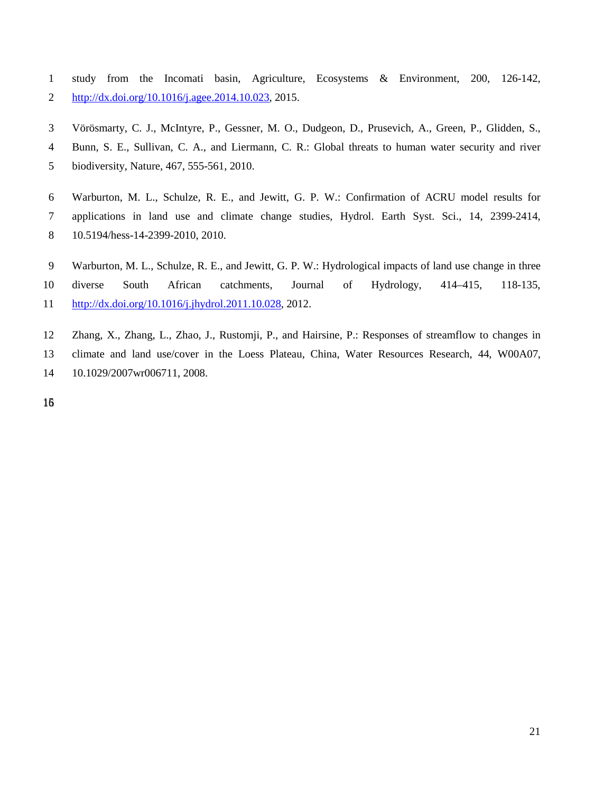- study from the Incomati basin, Agriculture, Ecosystems & Environment, 200, 126-142, [http://dx.doi.org/10.1016/j.agee.2014.10.023,](http://dx.doi.org/10.1016/j.agee.2014.10.023) 2015.
- <span id="page-20-0"></span> Vörösmarty, C. J., McIntyre, P., Gessner, M. O., Dudgeon, D., Prusevich, A., Green, P., Glidden, S., Bunn, S. E., Sullivan, C. A., and Liermann, C. R.: Global threats to human water security and river biodiversity, Nature, 467, 555-561, 2010.
- <span id="page-20-1"></span> Warburton, M. L., Schulze, R. E., and Jewitt, G. P. W.: Confirmation of ACRU model results for applications in land use and climate change studies, Hydrol. Earth Syst. Sci., 14, 2399-2414, 10.5194/hess-14-2399-2010, 2010.
- <span id="page-20-2"></span> Warburton, M. L., Schulze, R. E., and Jewitt, G. P. W.: Hydrological impacts of land use change in three diverse South African catchments, Journal of Hydrology, 414–415, 118-135, [http://dx.doi.org/10.1016/j.jhydrol.2011.10.028,](http://dx.doi.org/10.1016/j.jhydrol.2011.10.028) 2012.
- <span id="page-20-3"></span> Zhang, X., Zhang, L., Zhao, J., Rustomji, P., and Hairsine, P.: Responses of streamflow to changes in climate and land use/cover in the Loess Plateau, China, Water Resources Research, 44, W00A07, 10.1029/2007wr006711, 2008.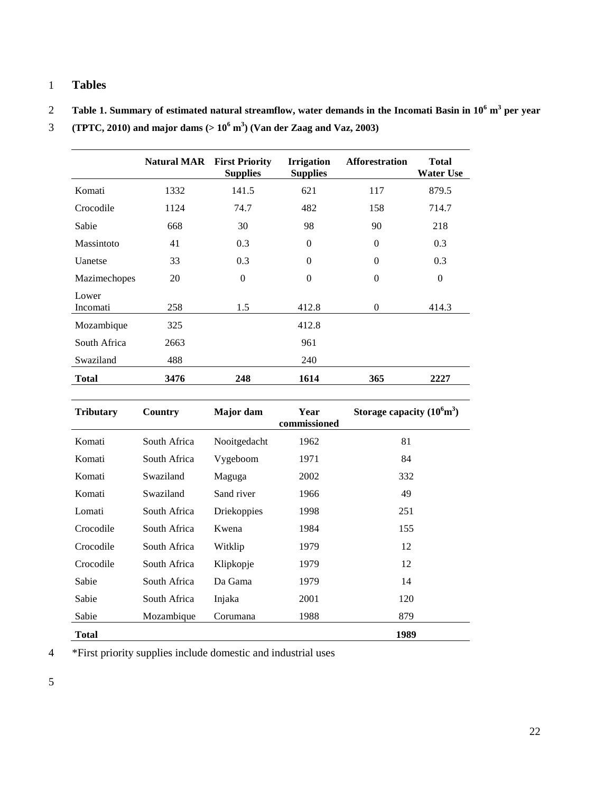# 1 **Tables**

- <span id="page-21-0"></span>**Table 1. Summary of estimated natural streamflow, water demands in the Incomati Basin in 10<sup>6</sup> m3** 2 **per year**
- **[\(TPTC, 2010\)](#page-19-3)** and major dams  $(> 10^6 \text{ m}^3)$  [\(Van der Zaag and Vaz, 2003\)](#page-19-5)

|                   | <b>Natural MAR</b> First Priority | <b>Supplies</b> | <b>Irrigation</b><br><b>Supplies</b> | <b>Afforestration</b> | <b>Total</b><br><b>Water Use</b> |
|-------------------|-----------------------------------|-----------------|--------------------------------------|-----------------------|----------------------------------|
| Komati            | 1332                              | 141.5           | 621                                  | 117                   | 879.5                            |
| Crocodile         | 1124                              | 74.7            | 482                                  | 158                   | 714.7                            |
| Sabie             | 668                               | 30              | 98                                   | 90                    | 218                              |
| Massintoto        | 41                                | 0.3             | $\overline{0}$                       | $\overline{0}$        | 0.3                              |
| Uanetse           | 33                                | 0.3             | $\theta$                             | $\theta$              | 0.3                              |
| Mazimechopes      | 20                                | $\overline{0}$  | $\overline{0}$                       | $\overline{0}$        | $\theta$                         |
| Lower<br>Incomati | 258                               | 1.5             | 412.8                                | $\overline{0}$        | 414.3                            |
| Mozambique        | 325                               |                 | 412.8                                |                       |                                  |
| South Africa      | 2663                              |                 | 961                                  |                       |                                  |
| Swaziland         | 488                               |                 | 240                                  |                       |                                  |
| <b>Total</b>      | 3476                              | 248             | 1614                                 | 365                   | 2227                             |

| <b>Tributary</b> | Country      | Major dam          | Year<br>commissioned | Storage capacity $(10^6 \text{m}^3)$ |
|------------------|--------------|--------------------|----------------------|--------------------------------------|
| Komati           | South Africa | Nooitgedacht       | 1962                 | 81                                   |
| Komati           | South Africa | Vygeboom           | 1971                 | 84                                   |
| Komati           | Swaziland    | Maguga             | 2002                 | 332                                  |
| Komati           | Swaziland    | Sand river         | 1966                 | 49                                   |
| Lomati           | South Africa | <b>Driekoppies</b> | 1998                 | 251                                  |
| Crocodile        | South Africa | Kwena              | 1984                 | 155                                  |
| Crocodile        | South Africa | Witklip            | 1979                 | 12                                   |
| Crocodile        | South Africa | Klipkopje          | 1979                 | 12                                   |
| Sabie            | South Africa | Da Gama            | 1979                 | 14                                   |
| Sabie            | South Africa | Injaka             | 2001                 | 120                                  |
| Sabie            | Mozambique   | Corumana           | 1988                 | 879                                  |
| <b>Total</b>     |              |                    |                      | 1989                                 |

4 \*First priority supplies include domestic and industrial uses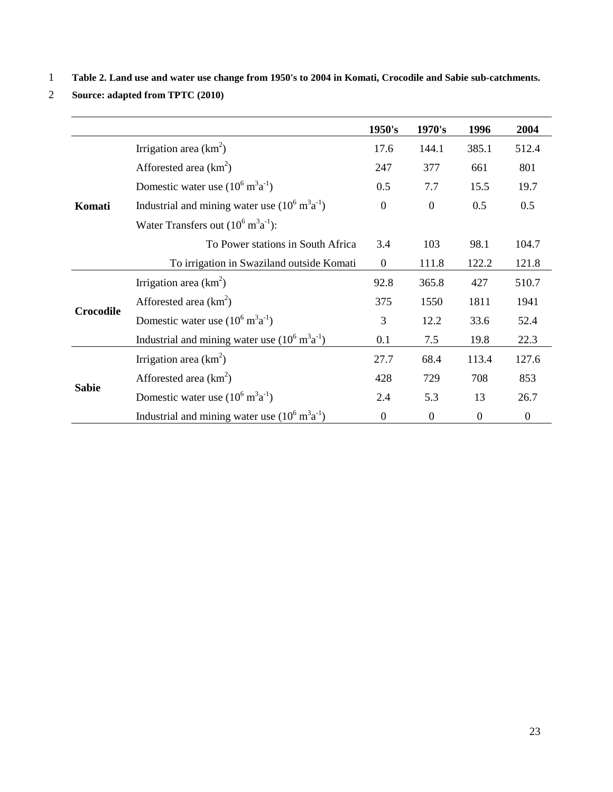<span id="page-22-0"></span>1 **Table 2. Land use and water use change from 1950's to 2004 in Komati, Crocodile and Sabie sub-catchments.** 

2 **Source: adapted from [TPTC \(2010\)](#page-19-3)**

|              |                                                                    | 1950's           | 1970's           | 1996           | 2004         |
|--------------|--------------------------------------------------------------------|------------------|------------------|----------------|--------------|
|              | Irrigation area $(km^2)$                                           | 17.6             | 144.1            | 385.1          | 512.4        |
|              | Afforested area $(km^2)$                                           | 247              | 377              | 661            | 801          |
|              | Domestic water use $(10^6 \text{ m}^3 \text{a}^{-1})$              | 0.5              | 7.7              | 15.5           | 19.7         |
| Komati       | Industrial and mining water use $(10^6 \text{ m}^3 \text{a}^{-1})$ | $\mathbf{0}$     | $\mathbf{0}$     | 0.5            | 0.5          |
|              | Water Transfers out $(10^6 \text{ m}^3 \text{a}^{-1})$ :           |                  |                  |                |              |
|              | To Power stations in South Africa                                  | 3.4              | 103              | 98.1           | 104.7        |
|              | To irrigation in Swaziland outside Komati                          | $\boldsymbol{0}$ | 111.8            | 122.2          | 121.8        |
|              | Irrigation area $(km^2)$                                           | 92.8             | 365.8            | 427            | 510.7        |
|              | Afforested area $(km^2)$                                           | 375              | 1550             | 1811           | 1941         |
| Crocodile    | Domestic water use $(10^6 \text{ m}^3 \text{a}^{-1})$              | 3                | 12.2             | 33.6           | 52.4         |
|              | Industrial and mining water use $(10^6 \text{ m}^3 \text{a}^{-1})$ | 0.1              | 7.5              | 19.8           | 22.3         |
|              | Irrigation area $(km^2)$                                           | 27.7             | 68.4             | 113.4          | 127.6        |
|              | Afforested area $(km^2)$                                           | 428              | 729              | 708            | 853          |
| <b>Sabie</b> | Domestic water use $(10^6 \text{ m}^3 \text{a}^{-1})$              | 2.4              | 5.3              | 13             | 26.7         |
|              | Industrial and mining water use $(10^6 \text{ m}^3 \text{a}^{-1})$ | $\mathbf{0}$     | $\boldsymbol{0}$ | $\overline{0}$ | $\mathbf{0}$ |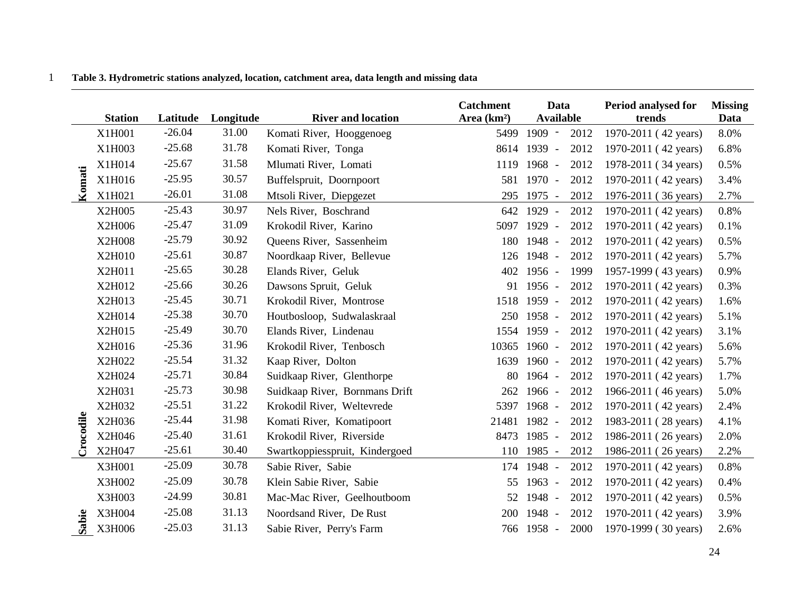<span id="page-23-0"></span>

|           | <b>Station</b> | Latitude | Longitude | <b>River and location</b>      | <b>Catchment</b><br>Area (km <sup>2</sup> ) | Data<br><b>Available</b> | Period analysed for<br>trends | <b>Missing</b><br>Data |
|-----------|----------------|----------|-----------|--------------------------------|---------------------------------------------|--------------------------|-------------------------------|------------------------|
|           | X1H001         | $-26.04$ | 31.00     | Komati River, Hooggenoeg       |                                             | 5499 1909 -<br>2012      | 1970-2011 (42 years)          | 8.0%                   |
|           | X1H003         | $-25.68$ | 31.78     | Komati River, Tonga            |                                             | 8614 1939 -<br>2012      | 1970-2011 (42 years)          | 6.8%                   |
|           | X1H014         | $-25.67$ | 31.58     | Mlumati River, Lomati          | 1119                                        | 1968 -<br>2012           | 1978-2011 (34 years)          | 0.5%                   |
|           | X1H016         | $-25.95$ | 30.57     | Buffelspruit, Doornpoort       | 581                                         | 1970 -<br>2012           | 1970-2011 (42 years)          | 3.4%                   |
| Komati    | X1H021         | $-26.01$ | 31.08     | Mtsoli River, Diepgezet        | 295                                         | 1975 -<br>2012           | 1976-2011 (36 years)          | 2.7%                   |
|           | <b>X2H005</b>  | $-25.43$ | 30.97     | Nels River, Boschrand          | 642                                         | 1929 -<br>2012           | 1970-2011 (42 years)          | 0.8%                   |
|           | X2H006         | $-25.47$ | 31.09     | Krokodil River, Karino         | 5097                                        | 1929 -<br>2012           | 1970-2011 (42 years)          | 0.1%                   |
|           | <b>X2H008</b>  | $-25.79$ | 30.92     | Queens River, Sassenheim       | 180                                         | 1948 -<br>2012           | 1970-2011 (42 years)          | 0.5%                   |
|           | X2H010         | $-25.61$ | 30.87     | Noordkaap River, Bellevue      | 126                                         | 1948 -<br>2012           | 1970-2011 (42 years)          | 5.7%                   |
|           | X2H011         | $-25.65$ | 30.28     | Elands River, Geluk            | 402                                         | 1999<br>1956 -           | 1957-1999 (43 years)          | 0.9%                   |
|           | X2H012         | $-25.66$ | 30.26     | Dawsons Spruit, Geluk          | 91                                          | 1956 -<br>2012           | 1970-2011 (42 years)          | 0.3%                   |
|           | X2H013         | $-25.45$ | 30.71     | Krokodil River, Montrose       | 1518                                        | 1959 -<br>2012           | 1970-2011 (42 years)          | 1.6%                   |
|           | X2H014         | $-25.38$ | 30.70     | Houtbosloop, Sudwalaskraal     | 250                                         | 1958 -<br>2012           | 1970-2011 (42 years)          | 5.1%                   |
|           | X2H015         | $-25.49$ | 30.70     | Elands River, Lindenau         |                                             | 1554 1959 -<br>2012      | 1970-2011 (42 years)          | 3.1%                   |
|           | X2H016         | $-25.36$ | 31.96     | Krokodil River, Tenbosch       | 10365                                       | 2012<br>1960 -           | 1970-2011 (42 years)          | 5.6%                   |
|           | X2H022         | $-25.54$ | 31.32     | Kaap River, Dolton             | 1639                                        | 1960 -<br>2012           | 1970-2011 (42 years)          | 5.7%                   |
|           | X2H024         | $-25.71$ | 30.84     | Suidkaap River, Glenthorpe     | 80                                          | 1964 -<br>2012           | 1970-2011 (42 years)          | 1.7%                   |
|           | X2H031         | $-25.73$ | 30.98     | Suidkaap River, Bornmans Drift | 262                                         | 2012<br>$1966 -$         | 1966-2011 (46 years)          | 5.0%                   |
|           | X2H032         | $-25.51$ | 31.22     | Krokodil River, Weltevrede     | 5397                                        | 1968 -<br>2012           | 1970-2011 (42 years)          | 2.4%                   |
| Crocodile | X2H036         | $-25.44$ | 31.98     | Komati River, Komatipoort      | 21481                                       | 1982 -<br>2012           | 1983-2011 (28 years)          | 4.1%                   |
|           | X2H046         | $-25.40$ | 31.61     | Krokodil River, Riverside      | 8473                                        | 1985 -<br>2012           | 1986-2011 (26 years)          | 2.0%                   |
|           | X2H047         | $-25.61$ | 30.40     | Swartkoppiesspruit, Kindergoed | 110                                         | 1985 -<br>2012           | 1986-2011 (26 years)          | 2.2%                   |
|           | X3H001         | $-25.09$ | 30.78     | Sabie River, Sabie             |                                             | 174 1948 -<br>2012       | 1970-2011 (42 years)          | 0.8%                   |
|           | X3H002         | $-25.09$ | 30.78     | Klein Sabie River, Sabie       | 55                                          | 1963 -<br>2012           | 1970-2011 (42 years)          | 0.4%                   |
|           | X3H003         | $-24.99$ | 30.81     | Mac-Mac River, Geelhoutboom    | 52                                          | 1948 -<br>2012           | 1970-2011 (42 years)          | 0.5%                   |
|           | X3H004         | $-25.08$ | 31.13     | Noordsand River, De Rust       | 200                                         | 1948 -<br>2012           | 1970-2011 (42 years)          | 3.9%                   |
| Sabie     | X3H006         | $-25.03$ | 31.13     | Sabie River, Perry's Farm      |                                             | 766 1958 -<br>2000       | 1970-1999 (30 years)          | 2.6%                   |

1 **Table 3. Hydrometric stations analyzed, location, catchment area, data length and missing data**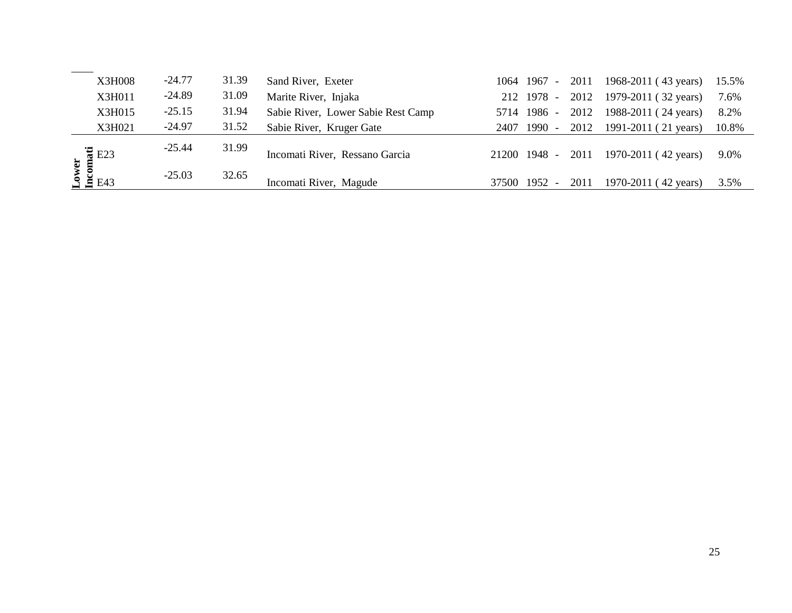| <b>X3H008</b>            | -24.77   | 31.39 | Sand River, Exeter                 | 1064 1967 -  |      | 2011 1968-2011 (43 years) | 15.5% |
|--------------------------|----------|-------|------------------------------------|--------------|------|---------------------------|-------|
| X3H011                   | $-24.89$ | 31.09 | Marite River, Injaka               | 212 1978 -   |      | 2012 1979-2011 (32 years) | 7.6%  |
| X3H015                   | $-25.15$ | 31.94 | Sabie River, Lower Sabie Rest Camp | 5714 1986 -  | 2012 | 1988-2011 (24 years)      | 8.2%  |
| X3H021                   | -24.97   | 31.52 | Sabie River, Kruger Gate           | 2407 1990 -  |      | 2012 1991-2011 (21 years) | 10.8% |
|                          | $-25.44$ | 31.99 | Incomati River, Ressano Garcia     | 21200 1948 - |      | 2011 1970-2011 (42 years) | 9.0%  |
| Lower<br>Loomati<br>LE43 | $-25.03$ | 32.65 | Incomati River, Magude             | 37500 1952 - | 2011 | 1970-2011 (42 years)      | 3.5%  |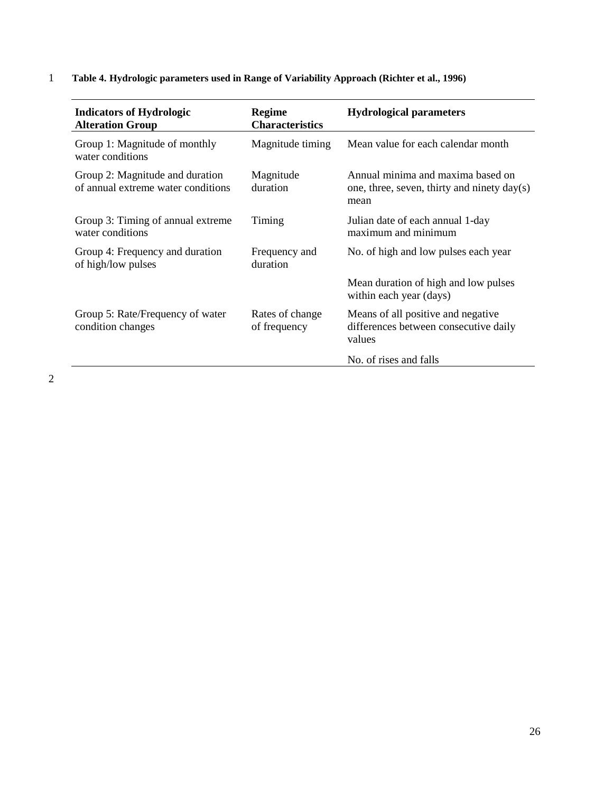1 **Table 4. Hydrologic parameters used in Range of Variability Approach [\(Richter et al., 1996\)](#page-18-4)**

| <b>Indicators of Hydrologic</b><br><b>Alteration Group</b>            | <b>Regime</b><br><b>Characteristics</b> | <b>Hydrological parameters</b>                                                           |
|-----------------------------------------------------------------------|-----------------------------------------|------------------------------------------------------------------------------------------|
| Group 1: Magnitude of monthly<br>water conditions                     | Magnitude timing                        | Mean value for each calendar month                                                       |
| Group 2: Magnitude and duration<br>of annual extreme water conditions | Magnitude<br>duration                   | Annual minima and maxima based on<br>one, three, seven, thirty and ninety day(s)<br>mean |
| Group 3: Timing of annual extreme<br>water conditions                 | Timing                                  | Julian date of each annual 1-day<br>maximum and minimum                                  |
| Group 4: Frequency and duration<br>of high/low pulses                 | Frequency and<br>duration               | No. of high and low pulses each year                                                     |
|                                                                       |                                         | Mean duration of high and low pulses<br>within each year (days)                          |
| Group 5: Rate/Frequency of water<br>condition changes                 | Rates of change<br>of frequency         | Means of all positive and negative<br>differences between consecutive daily<br>values    |
|                                                                       |                                         | No. of rises and falls                                                                   |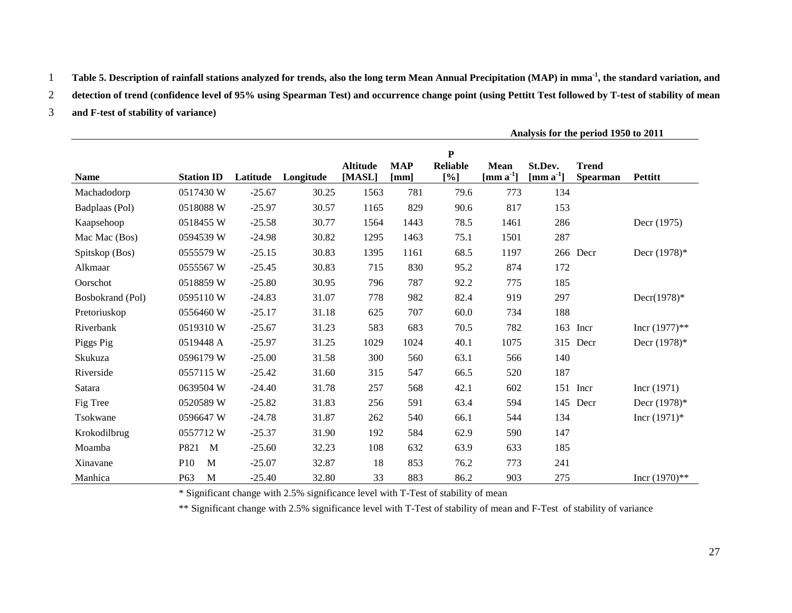**Table 5. Description of rainfall stations analyzed for trends, also the long term Mean Annual Precipitation (MAP) in mma-1** 1 **, the standard variation, and** 

3 **and F-test of stability of variance)**

<span id="page-26-0"></span>

|                  |                      |          |           |                           |                    | ${\bf P}$              |                               |                           |                                 |                  |
|------------------|----------------------|----------|-----------|---------------------------|--------------------|------------------------|-------------------------------|---------------------------|---------------------------------|------------------|
| <b>Name</b>      | <b>Station ID</b>    | Latitude | Longitude | <b>Altitude</b><br>[MASL] | <b>MAP</b><br>[mm] | <b>Reliable</b><br>[%] | <b>Mean</b><br>[mm $a^{-1}$ ] | St.Dev.<br>[mm $a^{-1}$ ] | <b>Trend</b><br><b>Spearman</b> | <b>Pettitt</b>   |
| Machadodorp      | 0517430W             | $-25.67$ | 30.25     | 1563                      | 781                | 79.6                   | 773                           | 134                       |                                 |                  |
| Badplaas (Pol)   | 0518088 W            | $-25.97$ | 30.57     | 1165                      | 829                | 90.6                   | 817                           | 153                       |                                 |                  |
| Kaapsehoop       | 0518455W             | $-25.58$ | 30.77     | 1564                      | 1443               | 78.5                   | 1461                          | 286                       |                                 | Decr (1975)      |
| Mac Mac (Bos)    | 0594539 W            | $-24.98$ | 30.82     | 1295                      | 1463               | 75.1                   | 1501                          | 287                       |                                 |                  |
| Spitskop (Bos)   | 0555579 W            | $-25.15$ | 30.83     | 1395                      | 1161               | 68.5                   | 1197                          |                           | 266 Decr                        | Decr (1978)*     |
| Alkmaar          | 0555567 W            | $-25.45$ | 30.83     | 715                       | 830                | 95.2                   | 874                           | 172                       |                                 |                  |
| Oorschot         | 0518859W             | $-25.80$ | 30.95     | 796                       | 787                | 92.2                   | 775                           | 185                       |                                 |                  |
| Bosbokrand (Pol) | 0595110W             | $-24.83$ | 31.07     | 778                       | 982                | 82.4                   | 919                           | 297                       |                                 | $Decr(1978)^*$   |
| Pretoriuskop     | 0556460W             | $-25.17$ | 31.18     | 625                       | 707                | 60.0                   | 734                           | 188                       |                                 |                  |
| Riverbank        | 0519310W             | $-25.67$ | 31.23     | 583                       | 683                | 70.5                   | 782                           | 163                       | Incr                            | Incr $(1977)$ ** |
| Piggs Pig        | 0519448 A            | $-25.97$ | 31.25     | 1029                      | 1024               | 40.1                   | 1075                          | 315                       | Decr                            | Decr $(1978)*$   |
| Skukuza          | 0596179 W            | $-25.00$ | 31.58     | 300                       | 560                | 63.1                   | 566                           | 140                       |                                 |                  |
| Riverside        | 0557115W             | $-25.42$ | 31.60     | 315                       | 547                | 66.5                   | 520                           | 187                       |                                 |                  |
| Satara           | 0639504 W            | $-24.40$ | 31.78     | 257                       | 568                | 42.1                   | 602                           | 151                       | Incr                            | Incr(1971)       |
| Fig Tree         | 0520589 W            | $-25.82$ | 31.83     | 256                       | 591                | 63.4                   | 594                           | 145                       | Decr                            | Decr (1978)*     |
| Tsokwane         | 0596647W             | $-24.78$ | 31.87     | 262                       | 540                | 66.1                   | 544                           | 134                       |                                 | Incr $(1971)^*$  |
| Krokodilbrug     | 0557712W             | $-25.37$ | 31.90     | 192                       | 584                | 62.9                   | 590                           | 147                       |                                 |                  |
| Moamba           | P821<br>M            | $-25.60$ | 32.23     | 108                       | 632                | 63.9                   | 633                           | 185                       |                                 |                  |
| Xinavane         | M<br>P <sub>10</sub> | $-25.07$ | 32.87     | 18                        | 853                | 76.2                   | 773                           | 241                       |                                 |                  |
| Manhica          | P63<br>M             | $-25.40$ | 32.80     | 33                        | 883                | 86.2                   | 903                           | 275                       |                                 | Incr $(1970)$ ** |

**Analysis for the period 1950 to 2011**

\* Significant change with 2.5% significance level with T-Test of stability of mean

\*\* Significant change with 2.5% significance level with T-Test of stability of mean and F-Test of stability of variance

<sup>2</sup> **detection of trend (confidence level of 95% using Spearman Test) and occurrence change point (using Pettitt Test followed by T-test of stability of mean**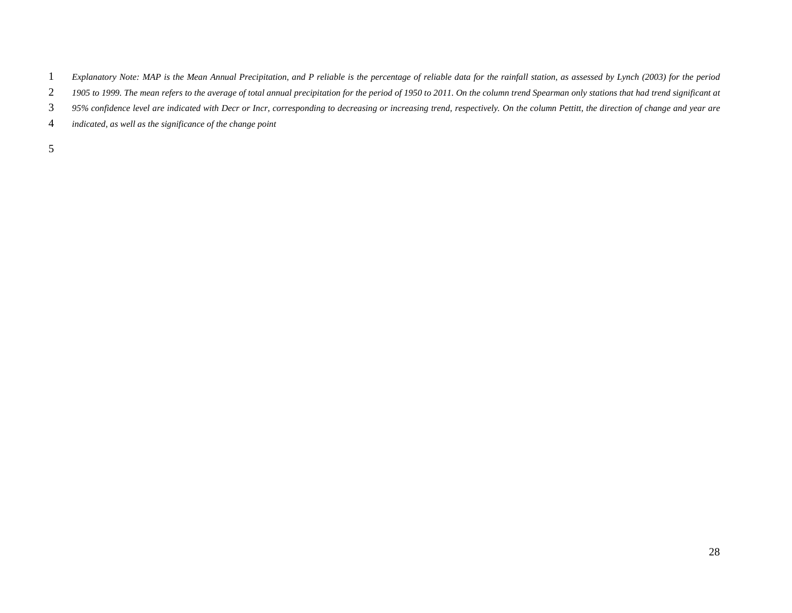- *Explanatory Note: MAP is the Mean Annual Precipitation, and P reliable is the percentage of reliable data for the rainfall station, as assessed by [Lynch \(2003\)](#page-16-11) for the period*
- *1905 to 1999. The mean refers to the average of total annual precipitation for the period of 1950 to 2011. On the column trend Spearman only stations that had trend significant at*
- *95% confidence level are indicated with Decr or Incr, corresponding to decreasing or increasing trend, respectively. On the column Pettitt, the direction of change and year are*
- *indicated, as well as the significance of the change point*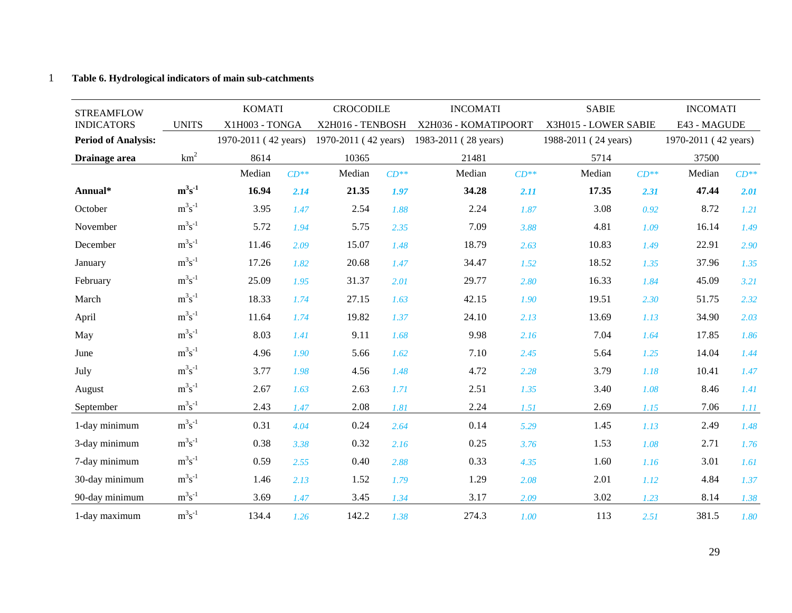# 1 **Table 6. Hydrological indicators of main sub-catchments**

<span id="page-28-0"></span>

| <b>KOMATI</b><br><b>STREAMFLOW</b> |                                      |                      | <b>CROCODILE</b> |                      | <b>INCOMATI</b> |                      | <b>SABIE</b> |                      | <b>INCOMATI</b> |                      |        |
|------------------------------------|--------------------------------------|----------------------|------------------|----------------------|-----------------|----------------------|--------------|----------------------|-----------------|----------------------|--------|
| <b>INDICATORS</b>                  | <b>UNITS</b>                         | X1H003 - TONGA       |                  | X2H016 - TENBOSH     |                 | X2H036 - KOMATIPOORT |              | X3H015 - LOWER SABIE |                 | E43 - MAGUDE         |        |
| <b>Period of Analysis:</b>         |                                      | 1970-2011 (42 years) |                  | 1970-2011 (42 years) |                 | 1983-2011 (28 years) |              | 1988-2011 (24 years) |                 | 1970-2011 (42 years) |        |
| Drainage area                      | km <sup>2</sup>                      | 8614                 |                  | 10365                |                 | 21481                |              | 5714                 |                 | 37500                |        |
|                                    |                                      | Median               | $CD**$           | Median               | $CD**$          | Median               | $CD**$       | Median               | $CD**$          | Median               | $CD**$ |
| Annual*                            | $m^3s^{\text{-}1}$                   | 16.94                | 2.14             | 21.35                | 1.97            | 34.28                | 2.11         | 17.35                | 2.31            | 47.44                | 2.01   |
| October                            | $\mathrm{m}^3\mathrm{s}^{\text{-}1}$ | 3.95                 | 1.47             | 2.54                 | 1.88            | 2.24                 | 1.87         | 3.08                 | 0.92            | 8.72                 | 1.21   |
| November                           | $m^3s^{-1}$                          | 5.72                 | 1.94             | 5.75                 | 2.35            | 7.09                 | 3.88         | 4.81                 | 1.09            | 16.14                | 1.49   |
| December                           | $m^3s^{-1}$                          | 11.46                | 2.09             | 15.07                | 1.48            | 18.79                | 2.63         | 10.83                | 1.49            | 22.91                | 2.90   |
| January                            | $m^3s^{-1}$                          | 17.26                | 1.82             | 20.68                | 1.47            | 34.47                | 1.52         | 18.52                | 1.35            | 37.96                | 1.35   |
| February                           | $m^3s^{-1}$                          | 25.09                | 1.95             | 31.37                | 2.01            | 29.77                | 2.80         | 16.33                | 1.84            | 45.09                | 3.21   |
| March                              | $m^3s^{-1}$                          | 18.33                | 1.74             | 27.15                | 1.63            | 42.15                | 1.90         | 19.51                | 2.30            | 51.75                | 2.32   |
| April                              | $m^3s^{-1}$                          | 11.64                | 1.74             | 19.82                | 1.37            | 24.10                | 2.13         | 13.69                | 1.13            | 34.90                | 2.03   |
| May                                | $m^3s^{-1}$                          | 8.03                 | 1.41             | 9.11                 | 1.68            | 9.98                 | 2.16         | 7.04                 | 1.64            | 17.85                | 1.86   |
| June                               | $m^3s^{-1}$                          | 4.96                 | 1.90             | 5.66                 | 1.62            | 7.10                 | 2.45         | 5.64                 | 1.25            | 14.04                | 1.44   |
| July                               | $m^3s^{-1}$                          | 3.77                 | 1.98             | 4.56                 | 1.48            | 4.72                 | 2.28         | 3.79                 | 1.18            | 10.41                | 1.47   |
| August                             | $m^3s^{-1}$                          | 2.67                 | 1.63             | 2.63                 | 1.71            | 2.51                 | 1.35         | 3.40                 | 1.08            | 8.46                 | 1.41   |
| September                          | $\mathrm{m}^3\mathrm{s}^{\text{-}1}$ | 2.43                 | 1.47             | 2.08                 | 1.81            | 2.24                 | 1.51         | 2.69                 | 1.15            | 7.06                 | 1.11   |
| 1-day minimum                      | $m^3s^{-1}$                          | 0.31                 | 4.04             | 0.24                 | 2.64            | 0.14                 | 5.29         | 1.45                 | 1.13            | 2.49                 | 1.48   |
| 3-day minimum                      | $m^3s^{-1}$                          | 0.38                 | 3.38             | 0.32                 | 2.16            | 0.25                 | 3.76         | 1.53                 | 1.08            | 2.71                 | 1.76   |
| 7-day minimum                      | $m^3s^{-1}$                          | 0.59                 | 2.55             | 0.40                 | 2.88            | 0.33                 | 4.35         | 1.60                 | 1.16            | 3.01                 | 1.61   |
| 30-day minimum                     | $\mathrm{m}^3\mathrm{s}^{\text{-}1}$ | 1.46                 | 2.13             | 1.52                 | 1.79            | 1.29                 | 2.08         | 2.01                 | 1.12            | 4.84                 | 1.37   |
| 90-day minimum                     | $\mathrm{m}^3\mathrm{s}^{\text{-}1}$ | 3.69                 | 1.47             | 3.45                 | 1.34            | 3.17                 | 2.09         | 3.02                 | 1.23            | 8.14                 | 1.38   |
| 1-day maximum                      | $m^3s^{-1}$                          | 134.4                | 1.26             | 142.2                | 1.38            | 274.3                | 1.00         | 113                  | 2.51            | 381.5                | 1.80   |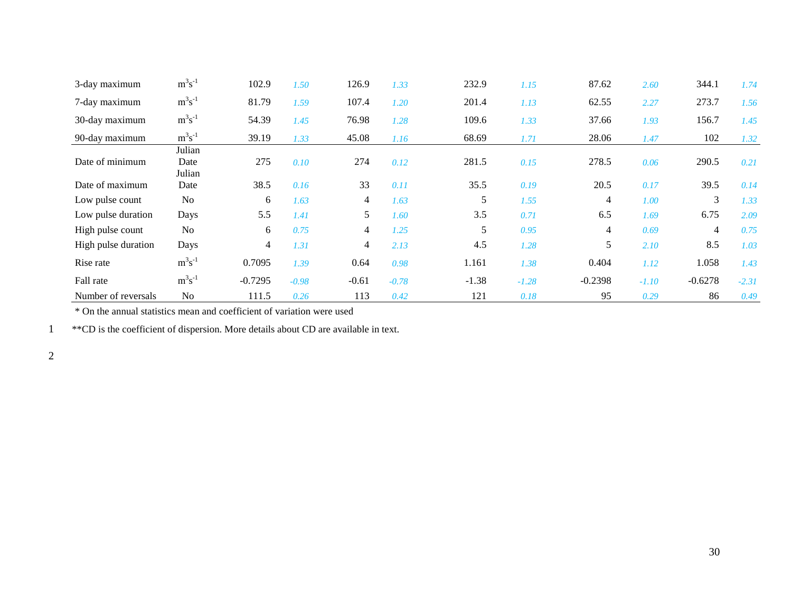| 3-day maximum       | $m^3s^{-1}$    | 102.9          | 1.50    | 126.9          | 1.33    | 232.9   | 1.15    | 87.62          | 2.60    | 344.1          | 1.74    |
|---------------------|----------------|----------------|---------|----------------|---------|---------|---------|----------------|---------|----------------|---------|
| 7-day maximum       | $m^3s^{-1}$    | 81.79          | 1.59    | 107.4          | 1.20    | 201.4   | 1.13    | 62.55          | 2.27    | 273.7          | 1.56    |
| 30-day maximum      | $m^3s^{-1}$    | 54.39          | 1.45    | 76.98          | 1.28    | 109.6   | 1.33    | 37.66          | 1.93    | 156.7          | 1.45    |
| 90-day maximum      | $m^3s^{-1}$    | 39.19          | 1.33    | 45.08          | 1.16    | 68.69   | 1.71    | 28.06          | 1.47    | 102            | 1.32    |
|                     | Julian         |                |         |                |         |         |         |                |         |                |         |
| Date of minimum     | Date           | 275            | 0.10    | 274            | 0.12    | 281.5   | 0.15    | 278.5          | 0.06    | 290.5          | 0.21    |
|                     | Julian         |                |         |                |         |         |         |                |         |                |         |
| Date of maximum     | Date           | 38.5           | 0.16    | 33             | 0.11    | 35.5    | 0.19    | 20.5           | 0.17    | 39.5           | 0.14    |
| Low pulse count     | N <sub>0</sub> | 6              | 1.63    | $\overline{4}$ | 1.63    | 5       | 1.55    | $\overline{4}$ | 1.00    | 3              | 1.33    |
| Low pulse duration  | Days           | 5.5            | 1.41    | 5              | 1.60    | 3.5     | 0.71    | 6.5            | 1.69    | 6.75           | 2.09    |
| High pulse count    | N <sub>0</sub> | 6              | 0.75    | $\overline{4}$ | 1.25    | 5       | 0.95    | $\overline{4}$ | 0.69    | $\overline{4}$ | 0.75    |
| High pulse duration | Days           | $\overline{4}$ | 1.31    | $\overline{4}$ | 2.13    | 4.5     | 1.28    | 5              | 2.10    | 8.5            | 1.03    |
| Rise rate           | $m^3s^{-1}$    | 0.7095         | 1.39    | 0.64           | 0.98    | 1.161   | 1.38    | 0.404          | 1.12    | 1.058          | 1.43    |
| Fall rate           | $m^3s^{-1}$    | $-0.7295$      | $-0.98$ | $-0.61$        | $-0.78$ | $-1.38$ | $-1.28$ | $-0.2398$      | $-1.10$ | $-0.6278$      | $-2.31$ |
| Number of reversals | N <sub>o</sub> | 111.5          | 0.26    | 113            | 0.42    | 121     | 0.18    | 95             | 0.29    | 86             | 0.49    |

\* On the annual statistics mean and coefficient of variation were used

1 \*\*CD is the coefficient of dispersion. More details about CD are available in text.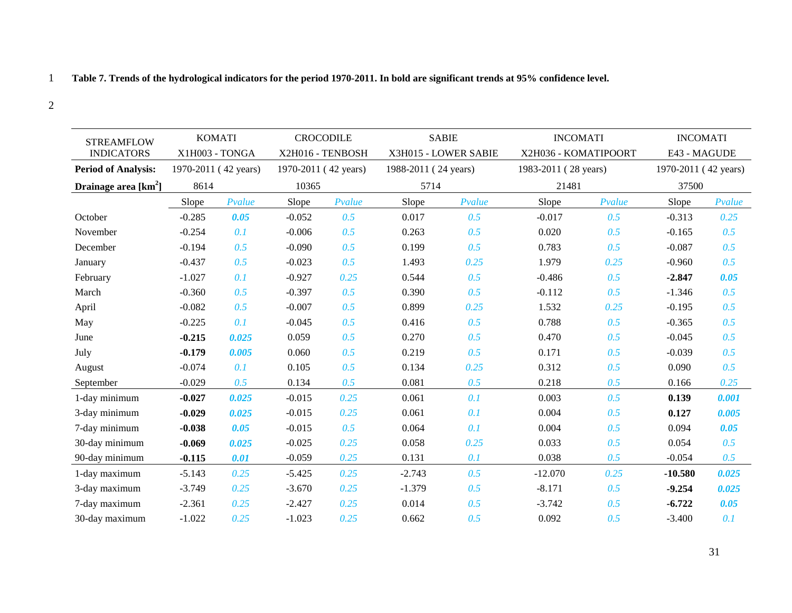# 1 **Table 7. Trends of the hydrological indicators for the period 1970-2011. In bold are significant trends at 95% confidence level.**

2

<span id="page-30-0"></span>

| <b>STREAMFLOW</b>          |                                    | <b>KOMATI</b>        |                      | <b>CROCODILE</b> |          | <b>SABIE</b>         | <b>INCOMATI</b>      |                      | <b>INCOMATI</b>      |       |  |
|----------------------------|------------------------------------|----------------------|----------------------|------------------|----------|----------------------|----------------------|----------------------|----------------------|-------|--|
| <b>INDICATORS</b>          | X1H003 - TONGA                     |                      |                      | X2H016 - TENBOSH |          | X3H015 - LOWER SABIE | X2H036 - KOMATIPOORT |                      | E43 - MAGUDE         |       |  |
| <b>Period of Analysis:</b> |                                    | 1970-2011 (42 years) | 1970-2011 (42 years) |                  |          | 1988-2011 (24 years) |                      | 1983-2011 (28 years) | 1970-2011 (42 years) |       |  |
| Drainage area $[km^2]$     | 8614                               |                      | 10365                |                  | 5714     |                      | 21481                |                      |                      | 37500 |  |
|                            | Slope<br>Pvalue<br>Slope<br>Pvalue |                      | Slope                | Pvalue           | Slope    | Pvalue               | Slope                | Pvalue               |                      |       |  |
| October                    | $-0.285$                           | 0.05                 | $-0.052$             | 0.5              | 0.017    | 0.5                  | $-0.017$             | 0.5                  | $-0.313$             | 0.25  |  |
| November                   | $-0.254$                           | 0.1                  | $-0.006$             | 0.5              | 0.263    | 0.5                  | 0.020                | 0.5                  | $-0.165$             | 0.5   |  |
| December                   | $-0.194$                           | 0.5                  | $-0.090$             | 0.5              | 0.199    | 0.5                  | 0.783                | 0.5                  | $-0.087$             | 0.5   |  |
| January                    | $-0.437$                           | 0.5                  | $-0.023$             | 0.5              | 1.493    | 0.25                 | 1.979                | 0.25                 | $-0.960$             | 0.5   |  |
| February                   | $-1.027$                           | 0.1                  | $-0.927$             | 0.25             | 0.544    | 0.5                  | $-0.486$             | 0.5                  | $-2.847$             | 0.05  |  |
| March                      | $-0.360$                           | 0.5                  | $-0.397$             | 0.5              | 0.390    | 0.5                  | $-0.112$             | 0.5                  | $-1.346$             | 0.5   |  |
| April                      | $-0.082$                           | 0.5                  | $-0.007$             | 0.5              | 0.899    | 0.25                 | 1.532                | 0.25                 | $-0.195$             | 0.5   |  |
| May                        | $-0.225$                           | 0.1                  | $-0.045$             | 0.5              | 0.416    | 0.5                  | 0.788                | 0.5                  | $-0.365$             | 0.5   |  |
| June                       | $-0.215$                           | 0.025                | 0.059                | 0.5              | 0.270    | 0.5                  | 0.470                | 0.5                  | $-0.045$             | 0.5   |  |
| July                       | $-0.179$                           | 0.005                | 0.060                | 0.5              | 0.219    | 0.5                  | 0.171                | 0.5                  | $-0.039$             | 0.5   |  |
| August                     | $-0.074$                           | 0.1                  | 0.105                | 0.5              | 0.134    | 0.25                 | 0.312                | 0.5                  | 0.090                | 0.5   |  |
| September                  | $-0.029$                           | 0.5                  | 0.134                | 0.5              | 0.081    | 0.5                  | 0.218                | 0.5                  | 0.166                | 0.25  |  |
| 1-day minimum              | $-0.027$                           | 0.025                | $-0.015$             | 0.25             | 0.061    | 0.1                  | 0.003                | 0.5                  | 0.139                | 0.001 |  |
| 3-day minimum              | $-0.029$                           | 0.025                | $-0.015$             | 0.25             | 0.061    | 0.1                  | 0.004                | 0.5                  | 0.127                | 0.005 |  |
| 7-day minimum              | $-0.038$                           | 0.05                 | $-0.015$             | 0.5              | 0.064    | 0.1                  | 0.004                | 0.5                  | 0.094                | 0.05  |  |
| 30-day minimum             | $-0.069$                           | 0.025                | $-0.025$             | 0.25             | 0.058    | 0.25                 | 0.033                | 0.5                  | 0.054                | 0.5   |  |
| 90-day minimum             | $-0.115$                           | 0.01                 | $-0.059$             | 0.25             | 0.131    | 0.1                  | 0.038                | 0.5                  | $-0.054$             | 0.5   |  |
| 1-day maximum              | $-5.143$                           | 0.25                 | $-5.425$             | 0.25             | $-2.743$ | 0.5                  | $-12.070$            | 0.25                 | $-10.580$            | 0.025 |  |
| 3-day maximum              | $-3.749$                           | 0.25                 | $-3.670$             | 0.25             | $-1.379$ | 0.5                  | $-8.171$             | 0.5                  | $-9.254$             | 0.025 |  |
| 7-day maximum              | $-2.361$                           | 0.25                 | $-2.427$             | 0.25             | 0.014    | 0.5                  | $-3.742$             | 0.5                  | $-6.722$             | 0.05  |  |
| 30-day maximum             | $-1.022$                           | 0.25                 | $-1.023$             | 0.25             | 0.662    | 0.5                  | 0.092                | 0.5                  | $-3.400$             | 0.1   |  |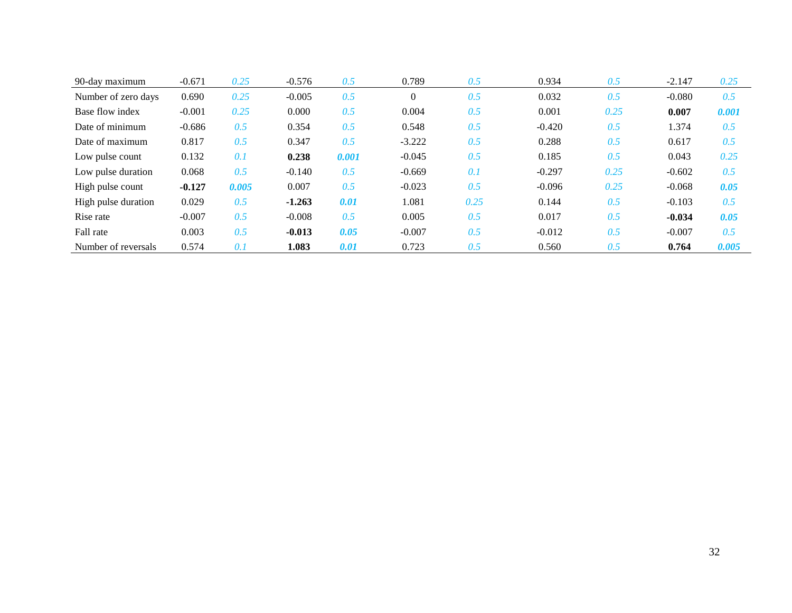| 90-day maximum      | $-0.671$ | 0.25  | $-0.576$ | 0.5   | 0.789    | 0.5  | 0.934    | 0.5  | $-2.147$ | 0.25  |
|---------------------|----------|-------|----------|-------|----------|------|----------|------|----------|-------|
| Number of zero days | 0.690    | 0.25  | $-0.005$ | 0.5   | $\theta$ | 0.5  | 0.032    | 0.5  | $-0.080$ | 0.5   |
| Base flow index     | $-0.001$ | 0.25  | 0.000    | 0.5   | 0.004    | 0.5  | 0.001    | 0.25 | 0.007    | 0.001 |
| Date of minimum     | $-0.686$ | 0.5   | 0.354    | 0.5   | 0.548    | 0.5  | $-0.420$ | 0.5  | 1.374    | 0.5   |
| Date of maximum     | 0.817    | 0.5   | 0.347    | 0.5   | $-3.222$ | 0.5  | 0.288    | 0.5  | 0.617    | 0.5   |
| Low pulse count     | 0.132    | 0.1   | 0.238    | 0.001 | $-0.045$ | 0.5  | 0.185    | 0.5  | 0.043    | 0.25  |
| Low pulse duration  | 0.068    | 0.5   | $-0.140$ | 0.5   | $-0.669$ | 0.1  | $-0.297$ | 0.25 | $-0.602$ | 0.5   |
| High pulse count    | $-0.127$ | 0.005 | 0.007    | 0.5   | $-0.023$ | 0.5  | $-0.096$ | 0.25 | $-0.068$ | 0.05  |
| High pulse duration | 0.029    | 0.5   | $-1.263$ | 0.01  | 1.081    | 0.25 | 0.144    | 0.5  | $-0.103$ | 0.5   |
| Rise rate           | $-0.007$ | 0.5   | $-0.008$ | 0.5   | 0.005    | 0.5  | 0.017    | 0.5  | $-0.034$ | 0.05  |
| Fall rate           | 0.003    | 0.5   | $-0.013$ | 0.05  | $-0.007$ | 0.5  | $-0.012$ | 0.5  | $-0.007$ | 0.5   |
| Number of reversals | 0.574    | 0.1   | 1.083    | 0.01  | 0.723    | 0.5  | 0.560    | 0.5  | 0.764    | 0.005 |